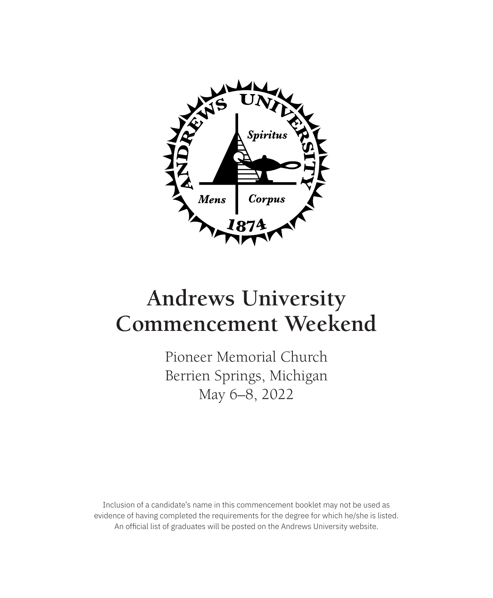

# **Andrews University Commencement Weekend**

Pioneer Memorial Church Berrien Springs, Michigan May 6–8, 2022

Inclusion of a candidate's name in this commencement booklet may not be used as evidence of having completed the requirements for the degree for which he/she is listed. An official list of graduates will be posted on the Andrews University website.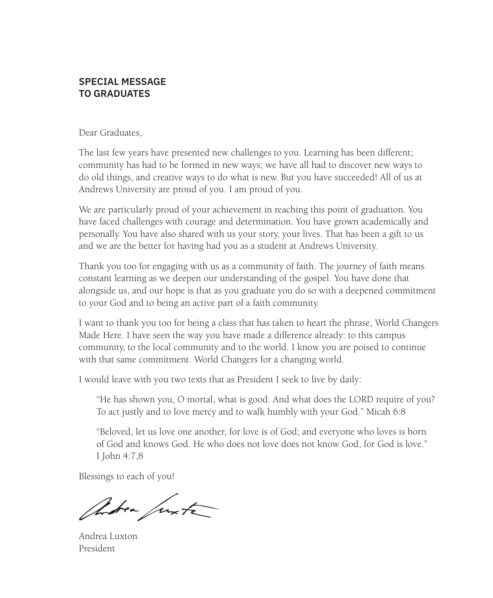# **SPECIAL MESSAGE TO GRADUATES**

Dear Graduates,

The last few years have presented new challenges to you. Learning has been different; community has had to be formed in new ways; we have all had to discover new ways to do old things, and creative ways to do what is new. But you have succeeded! All of us at Andrews University are proud of you. I am proud of you.

We are particularly proud of your achievement in reaching this point of graduation. You have faced challenges with courage and determination. You have grown academically and personally. You have also shared with us your story, your lives. That has been a gift to us and we are the better for having had you as a student at Andrews University.

Thank you too for engaging with us as a community of faith. The journey of faith means constant learning as we deepen our understanding of the gospel. You have done that alongside us, and our hope is that as you graduate you do so with a deepened commitment to your God and to being an active part of a faith community.

I want to thank you too for being a class that has taken to heart the phrase, World Changers Made Here. I have seen the way you have made a difference already: to this campus community, to the local community and to the world. I know you are poised to continue with that same commitment. World Changers for a changing world.

I would leave with you two texts that as President I seek to live by daily:

"He has shown you, O mortal, what is good. And what does the LORD require of you? To act justly and to love mercy and to walk humbly with your God." Micah 6:8

"Beloved, let us love one another, for love is of God; and everyone who loves is born of God and knows God. He who does not love does not know God, for God is love." I John 4:7,8

Blessings to each of you!

Andrea Junta

Andrea Luxton President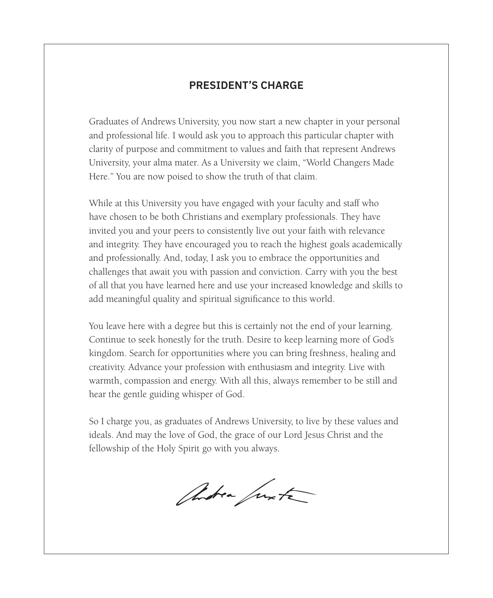# **PRESIDENT'S CHARGE**

Graduates of Andrews University, you now start a new chapter in your personal and professional life. I would ask you to approach this particular chapter with clarity of purpose and commitment to values and faith that represent Andrews University, your alma mater. As a University we claim, "World Changers Made Here." You are now poised to show the truth of that claim.

While at this University you have engaged with your faculty and staff who have chosen to be both Christians and exemplary professionals. They have invited you and your peers to consistently live out your faith with relevance and integrity. They have encouraged you to reach the highest goals academically and professionally. And, today, I ask you to embrace the opportunities and challenges that await you with passion and conviction. Carry with you the best of all that you have learned here and use your increased knowledge and skills to add meaningful quality and spiritual significance to this world.

You leave here with a degree but this is certainly not the end of your learning. Continue to seek honestly for the truth. Desire to keep learning more of God's kingdom. Search for opportunities where you can bring freshness, healing and creativity. Advance your profession with enthusiasm and integrity. Live with warmth, compassion and energy. With all this, always remember to be still and hear the gentle guiding whisper of God.

So I charge you, as graduates of Andrews University, to live by these values and ideals. And may the love of God, the grace of our Lord Jesus Christ and the fellowship of the Holy Spirit go with you always.

Andrea Junta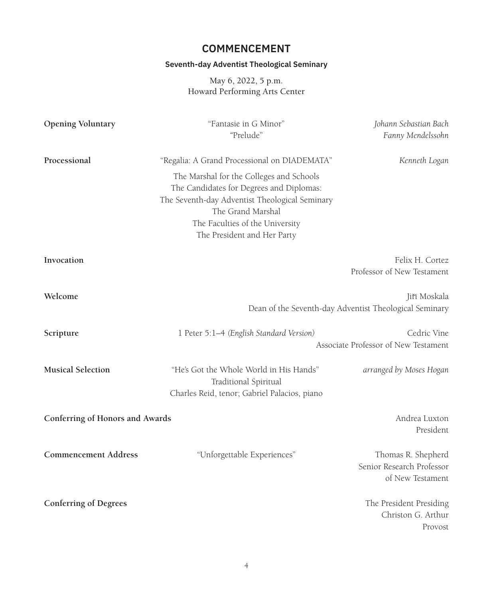# **COMMENCEMENT**

# **Seventh-day Adventist Theological Seminary**

May 6, 2022, 5 p.m. Howard Performing Arts Center

| <b>Opening Voluntary</b>        | "Fantasie in G Minor"<br>"Prelude"                                                                                                                                                                                            | Johann Sebastian Bach<br>Fanny Mendelssohn                             |
|---------------------------------|-------------------------------------------------------------------------------------------------------------------------------------------------------------------------------------------------------------------------------|------------------------------------------------------------------------|
| Processional                    | "Regalia: A Grand Processional on DIADEMATA"                                                                                                                                                                                  | Kenneth Logan                                                          |
|                                 | The Marshal for the Colleges and Schools<br>The Candidates for Degrees and Diplomas:<br>The Seventh-day Adventist Theological Seminary<br>The Grand Marshal<br>The Faculties of the University<br>The President and Her Party |                                                                        |
| Invocation                      |                                                                                                                                                                                                                               | Felix H. Cortez<br>Professor of New Testament                          |
| Welcome                         |                                                                                                                                                                                                                               | Jiří Moskala<br>Dean of the Seventh-day Adventist Theological Seminary |
| Scripture                       | 1 Peter 5:1-4 (English Standard Version)                                                                                                                                                                                      | Cedric Vine<br>Associate Professor of New Testament                    |
| <b>Musical Selection</b>        | "He's Got the Whole World in His Hands"<br>Traditional Spiritual<br>Charles Reid, tenor; Gabriel Palacios, piano                                                                                                              | arranged by Moses Hogan                                                |
| Conferring of Honors and Awards |                                                                                                                                                                                                                               | Andrea Luxton<br>President                                             |
| <b>Commencement Address</b>     | "Unforgettable Experiences"                                                                                                                                                                                                   | Thomas R. Shepherd<br>Senior Research Professor<br>of New Testament    |
| <b>Conferring of Degrees</b>    |                                                                                                                                                                                                                               | The President Presiding<br>Christon G. Arthur<br>Provost               |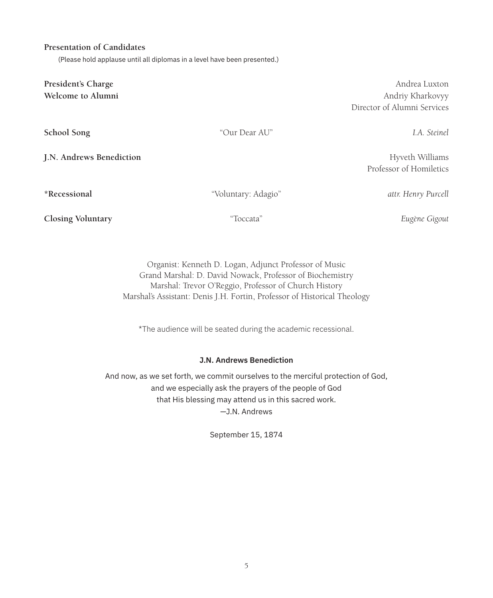#### **Presentation of Candidates**

(Please hold applause until all diplomas in a level have been presented.)

**President's Charge** Andrea Luxton **Welcome to Alumni** Andriy Kharkovyy **School Song** "Our Dear AU" *I.A. Steinel* **J.N. Andrews Benediction Hyveth Williams Hyveth Williams \*Recessional** "Voluntary: Adagio" *attr. Henry Purcell* **Closing Voluntary** "Toccata" *Eugène Gigout*

> Organist: Kenneth D. Logan, Adjunct Professor of Music Grand Marshal: D. David Nowack, Professor of Biochemistry Marshal: Trevor O'Reggio, Professor of Church History Marshal's Assistant: Denis J.H. Fortin, Professor of Historical Theology

\*The audience will be seated during the academic recessional.

#### **J.N. Andrews Benediction**

And now, as we set forth, we commit ourselves to the merciful protection of God, and we especially ask the prayers of the people of God that His blessing may attend us in this sacred work. —J.N. Andrews

September 15, 1874

Director of Alumni Services

Professor of Homiletics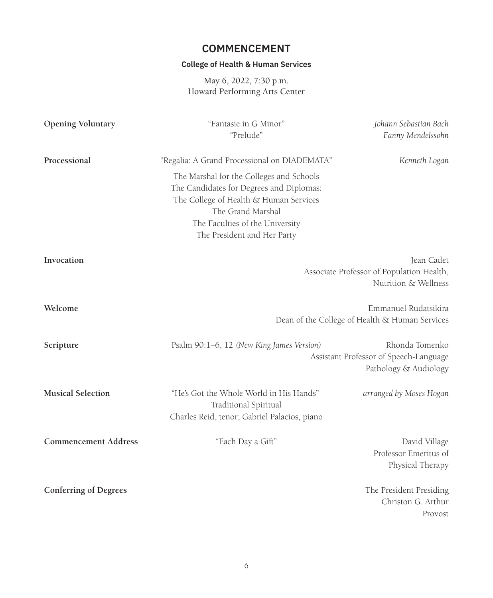# **COMMENCEMENT**

# **College of Health & Human Services**

May 6, 2022, 7:30 p.m. Howard Performing Arts Center

| <b>Opening Voluntary</b>     | "Fantasie in G Minor"<br>"Prelude"                                                                                                                                                                                    | Johann Sebastian Bach<br>Fanny Mendelssohn                                        |
|------------------------------|-----------------------------------------------------------------------------------------------------------------------------------------------------------------------------------------------------------------------|-----------------------------------------------------------------------------------|
| Processional                 | "Regalia: A Grand Processional on DIADEMATA"                                                                                                                                                                          | Kenneth Logan                                                                     |
|                              | The Marshal for the Colleges and Schools<br>The Candidates for Degrees and Diplomas:<br>The College of Health & Human Services<br>The Grand Marshal<br>The Faculties of the University<br>The President and Her Party |                                                                                   |
| Invocation                   |                                                                                                                                                                                                                       | Jean Cadet<br>Associate Professor of Population Health,<br>Nutrition & Wellness   |
| Welcome                      |                                                                                                                                                                                                                       | Emmanuel Rudatsikira<br>Dean of the College of Health & Human Services            |
| Scripture                    | Psalm 90:1–6, 12 (New King James Version)                                                                                                                                                                             | Rhonda Tomenko<br>Assistant Professor of Speech-Language<br>Pathology & Audiology |
| <b>Musical Selection</b>     | "He's Got the Whole World in His Hands"<br>Traditional Spiritual<br>Charles Reid, tenor; Gabriel Palacios, piano                                                                                                      | arranged by Moses Hogan                                                           |
| <b>Commencement Address</b>  | "Each Day a Gift"                                                                                                                                                                                                     | David Village<br>Professor Emeritus of<br>Physical Therapy                        |
| <b>Conferring of Degrees</b> |                                                                                                                                                                                                                       | The President Presiding<br>Christon G. Arthur<br>Provost                          |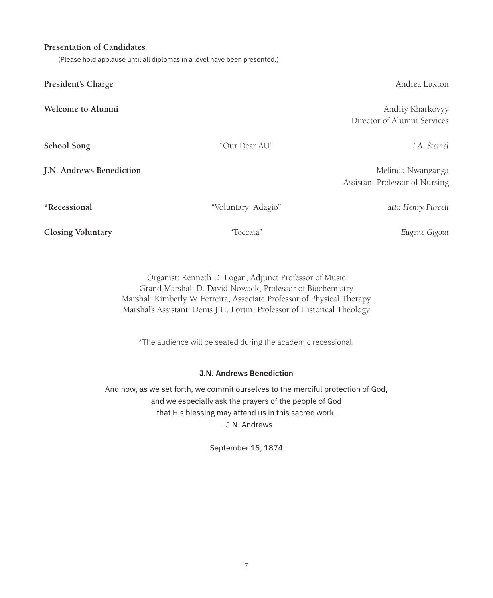#### **Presentation of Candidates**

(Please hold applause until all diplomas in a level have been presented.)

**President's Charge** Andrea Luxton **President's Charge** Andrea Luxton

**School Song** "Our Dear AU" *I.A. Steinel*

**Welcome to Alumni** Andriy Kharkovyy Director of Alumni Services

**J.N. Andrews Benediction** Melinda Nwanganga Assistant Professor of Nursing

**\*Recessional** "Voluntary: Adagio" *attr. Henry Purcell*

**Closing Voluntary** "Toccata" *Eugène Gigout*

Organist: Kenneth D. Logan, Adjunct Professor of Music Grand Marshal: D. David Nowack, Professor of Biochemistry Marshal: Kimberly W. Ferreira, Associate Professor of Physical Therapy Marshal's Assistant: Denis J.H. Fortin, Professor of Historical Theology

\*The audience will be seated during the academic recessional.

#### **J.N. Andrews Benediction**

And now, as we set forth, we commit ourselves to the merciful protection of God, and we especially ask the prayers of the people of God that His blessing may attend us in this sacred work. —J.N. Andrews

September 15, 1874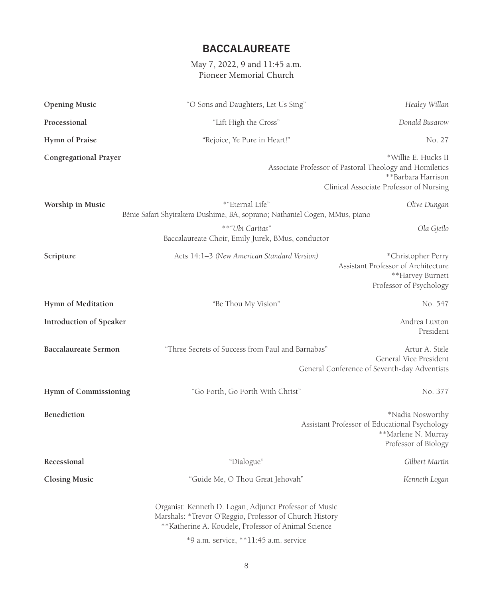# **BACCALAUREATE**

### May 7, 2022, 9 and 11:45 a.m. Pioneer Memorial Church

| <b>Opening Music</b>        | "O Sons and Daughters, Let Us Sing"                                                                                                                                       | Healey Willan                                                                                                                                   |
|-----------------------------|---------------------------------------------------------------------------------------------------------------------------------------------------------------------------|-------------------------------------------------------------------------------------------------------------------------------------------------|
| Processional                | "Lift High the Cross"                                                                                                                                                     | Donald Busarow                                                                                                                                  |
| Hymn of Praise              | "Rejoice, Ye Pure in Heart!"                                                                                                                                              | No. 27                                                                                                                                          |
| Congregational Prayer       |                                                                                                                                                                           | *Willie E. Hucks II<br>Associate Professor of Pastoral Theology and Homiletics<br>**Barbara Harrison<br>Clinical Associate Professor of Nursing |
| Worship in Music            | *"Eternal Life"<br>Bénie Safari Shyirakera Dushime, BA, soprano; Nathaniel Cogen, MMus, piano                                                                             | Olive Dungan                                                                                                                                    |
|                             | **"Ubi Caritas"<br>Baccalaureate Choir, Emily Jurek, BMus, conductor                                                                                                      | Ola Gjeilo                                                                                                                                      |
| Scripture                   | Acts 14:1-3 (New American Standard Version)                                                                                                                               | *Christopher Perry<br>Assistant Professor of Architecture<br>**Harvey Burnett<br>Professor of Psychology                                        |
| Hymn of Meditation          | "Be Thou My Vision"                                                                                                                                                       | No. 547                                                                                                                                         |
| Introduction of Speaker     |                                                                                                                                                                           | Andrea Luxton<br>President                                                                                                                      |
| <b>Baccalaureate Sermon</b> | "Three Secrets of Success from Paul and Barnabas"                                                                                                                         | Artur A. Stele<br>General Vice President<br>General Conference of Seventh-day Adventists                                                        |
| Hymn of Commissioning       | "Go Forth, Go Forth With Christ"                                                                                                                                          | No. 377                                                                                                                                         |
| Benediction                 |                                                                                                                                                                           | *Nadia Nosworthy<br>Assistant Professor of Educational Psychology<br>**Marlene N. Murray<br>Professor of Biology                                |
| Recessional                 | "Dialogue"                                                                                                                                                                | Gilbert Martin                                                                                                                                  |
| <b>Closing Music</b>        | "Guide Me, O Thou Great Jehovah"                                                                                                                                          | Kenneth Logan                                                                                                                                   |
|                             | Organist: Kenneth D. Logan, Adjunct Professor of Music<br>Marshals: *Trevor O'Reggio, Professor of Church History<br>** Katherine A. Koudele, Professor of Animal Science |                                                                                                                                                 |
|                             | *9 a.m. service, **11:45 a.m. service                                                                                                                                     |                                                                                                                                                 |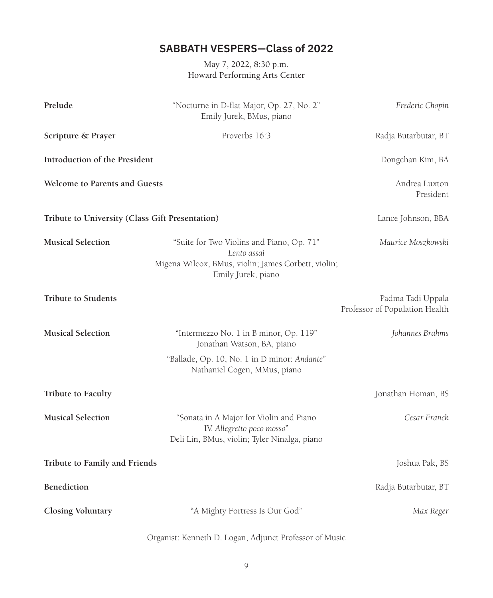# **SABBATH VESPERS—Class of 2022**

May 7, 2022, 8:30 p.m. Howard Performing Arts Center

| Prelude                                         | "Nocturne in D-flat Major, Op. 27, No. 2"<br>Emily Jurek, BMus, piano                                                                 | Frederic Chopin                                     |
|-------------------------------------------------|---------------------------------------------------------------------------------------------------------------------------------------|-----------------------------------------------------|
| Scripture & Prayer                              | Proverbs 16:3                                                                                                                         | Radja Butarbutar, BT                                |
| Introduction of the President                   |                                                                                                                                       | Dongchan Kim, BA                                    |
| Welcome to Parents and Guests                   |                                                                                                                                       | Andrea Luxton<br>President                          |
| Tribute to University (Class Gift Presentation) |                                                                                                                                       | Lance Johnson, BBA                                  |
| <b>Musical Selection</b>                        | "Suite for Two Violins and Piano, Op. 71"<br>Lento assai<br>Migena Wilcox, BMus, violin; James Corbett, violin;<br>Emily Jurek, piano | Maurice Moszkowski                                  |
| <b>Tribute to Students</b>                      |                                                                                                                                       | Padma Tadi Uppala<br>Professor of Population Health |
| <b>Musical Selection</b>                        | "Intermezzo No. 1 in B minor, Op. 119"<br>Jonathan Watson, BA, piano                                                                  | Johannes Brahms                                     |
|                                                 | "Ballade, Op. 10, No. 1 in D minor: Andante"<br>Nathaniel Cogen, MMus, piano                                                          |                                                     |
| Tribute to Faculty                              |                                                                                                                                       | Jonathan Homan, BS                                  |
| <b>Musical Selection</b>                        | "Sonata in A Major for Violin and Piano<br>IV. Allegretto poco mosso"<br>Deli Lin, BMus, violin; Tyler Ninalga, piano                 | Cesar Franck                                        |
| Tribute to Family and Friends                   |                                                                                                                                       | Joshua Pak, BS                                      |
| Benediction                                     |                                                                                                                                       | Radja Butarbutar, BT                                |
| <b>Closing Voluntary</b>                        | "A Mighty Fortress Is Our God"                                                                                                        | Max Reger                                           |
|                                                 | Organist: Kenneth D. Logan, Adjunct Professor of Music                                                                                |                                                     |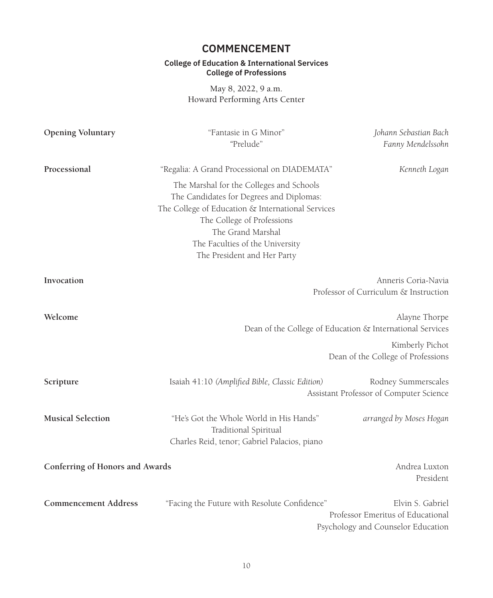# **COMMENCEMENT**

#### **College of Education & International Services College of Professions**

May 8, 2022, 9 a.m. Howard Performing Arts Center

| <b>Opening Voluntary</b>        | "Fantasie in G Minor"<br>"Prelude"                                                                                                                                                                                                                             | Johann Sebastian Bach<br>Fanny Mendelssohn                                                  |
|---------------------------------|----------------------------------------------------------------------------------------------------------------------------------------------------------------------------------------------------------------------------------------------------------------|---------------------------------------------------------------------------------------------|
| Processional                    | "Regalia: A Grand Processional on DIADEMATA"                                                                                                                                                                                                                   | Kenneth Logan                                                                               |
|                                 | The Marshal for the Colleges and Schools<br>The Candidates for Degrees and Diplomas:<br>The College of Education & International Services<br>The College of Professions<br>The Grand Marshal<br>The Faculties of the University<br>The President and Her Party |                                                                                             |
| Invocation                      |                                                                                                                                                                                                                                                                | Anneris Coria-Navia<br>Professor of Curriculum & Instruction                                |
| Welcome                         |                                                                                                                                                                                                                                                                | Alayne Thorpe<br>Dean of the College of Education & International Services                  |
|                                 |                                                                                                                                                                                                                                                                | Kimberly Pichot<br>Dean of the College of Professions                                       |
| Scripture                       | Isaiah 41:10 (Amplified Bible, Classic Edition)                                                                                                                                                                                                                | Rodney Summerscales<br>Assistant Professor of Computer Science                              |
| <b>Musical Selection</b>        | "He's Got the Whole World in His Hands"<br>Traditional Spiritual<br>Charles Reid, tenor; Gabriel Palacios, piano                                                                                                                                               | arranged by Moses Hogan                                                                     |
| Conferring of Honors and Awards |                                                                                                                                                                                                                                                                | Andrea Luxton<br>President                                                                  |
| <b>Commencement Address</b>     | "Facing the Future with Resolute Confidence"                                                                                                                                                                                                                   | Elvin S. Gabriel<br>Professor Emeritus of Educational<br>Psychology and Counselor Education |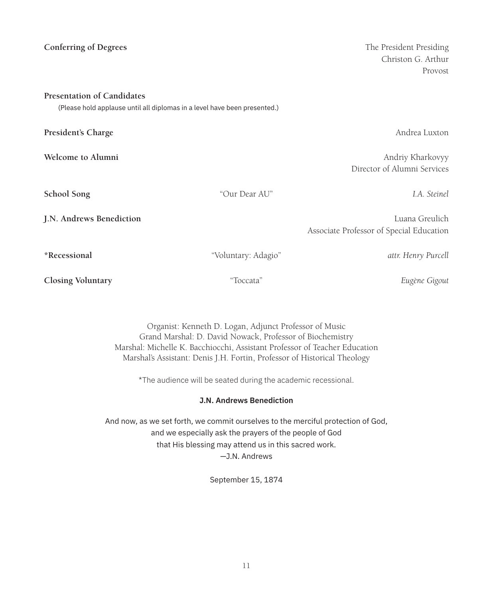| <b>Conferring of Degrees</b>                                                                                   |                     | The President Presiding<br>Christon G. Arthur<br>Provost   |
|----------------------------------------------------------------------------------------------------------------|---------------------|------------------------------------------------------------|
| <b>Presentation of Candidates</b><br>(Please hold applause until all diplomas in a level have been presented.) |                     |                                                            |
| President's Charge                                                                                             |                     | Andrea Luxton                                              |
| Welcome to Alumni                                                                                              |                     | Andriy Kharkovyy<br>Director of Alumni Services            |
| School Song                                                                                                    | "Our Dear AU"       | I.A. Steinel                                               |
| J.N. Andrews Benediction                                                                                       |                     | Luana Greulich<br>Associate Professor of Special Education |
| *Recessional                                                                                                   | "Voluntary: Adagio" | attr. Henry Purcell                                        |
| <b>Closing Voluntary</b>                                                                                       | "Toccata"           | Eugène Gigout                                              |

Organist: Kenneth D. Logan, Adjunct Professor of Music Grand Marshal: D. David Nowack, Professor of Biochemistry Marshal: Michelle K. Bacchiocchi, Assistant Professor of Teacher Education Marshal's Assistant: Denis J.H. Fortin, Professor of Historical Theology

\*The audience will be seated during the academic recessional.

### **J.N. Andrews Benediction**

And now, as we set forth, we commit ourselves to the merciful protection of God, and we especially ask the prayers of the people of God that His blessing may attend us in this sacred work. —J.N. Andrews

September 15, 1874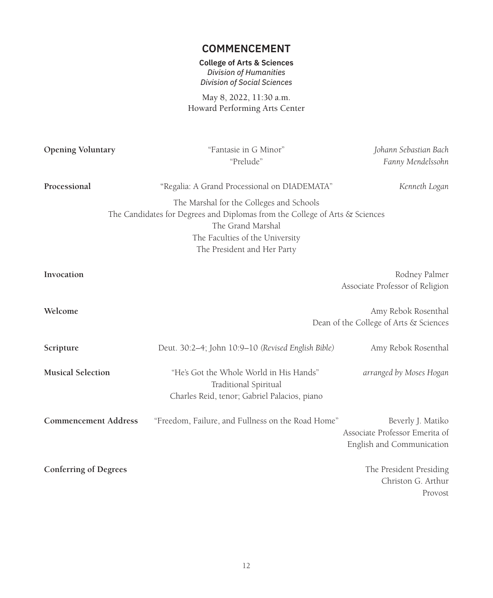# **COMMENCEMENT**

### **College of Arts & Sciences** *Division of Humanities Division of Social Sciences*

May 8, 2022, 11:30 a.m. Howard Performing Arts Center

| <b>Opening Voluntary</b>     | "Fantasie in G Minor"<br>"Prelude"                                                                                                                                                                                                                             | Johann Sebastian Bach<br>Fanny Mendelssohn                                       |
|------------------------------|----------------------------------------------------------------------------------------------------------------------------------------------------------------------------------------------------------------------------------------------------------------|----------------------------------------------------------------------------------|
| Processional                 | "Regalia: A Grand Processional on DIADEMATA"<br>The Marshal for the Colleges and Schools<br>The Candidates for Degrees and Diplomas from the College of Arts & Sciences<br>The Grand Marshal<br>The Faculties of the University<br>The President and Her Party | Kenneth Logan                                                                    |
| Invocation                   |                                                                                                                                                                                                                                                                | Rodney Palmer<br>Associate Professor of Religion                                 |
| Welcome                      |                                                                                                                                                                                                                                                                | Amy Rebok Rosenthal<br>Dean of the College of Arts & Sciences                    |
| Scripture                    | Deut. 30:2-4; John 10:9-10 (Revised English Bible)                                                                                                                                                                                                             | Amy Rebok Rosenthal                                                              |
| <b>Musical Selection</b>     | "He's Got the Whole World in His Hands"<br>Traditional Spiritual<br>Charles Reid, tenor; Gabriel Palacios, piano                                                                                                                                               | arranged by Moses Hogan                                                          |
| <b>Commencement Address</b>  | "Freedom, Failure, and Fullness on the Road Home"                                                                                                                                                                                                              | Beverly J. Matiko<br>Associate Professor Emerita of<br>English and Communication |
| <b>Conferring of Degrees</b> |                                                                                                                                                                                                                                                                | The President Presiding<br>Christon G. Arthur<br>Provost                         |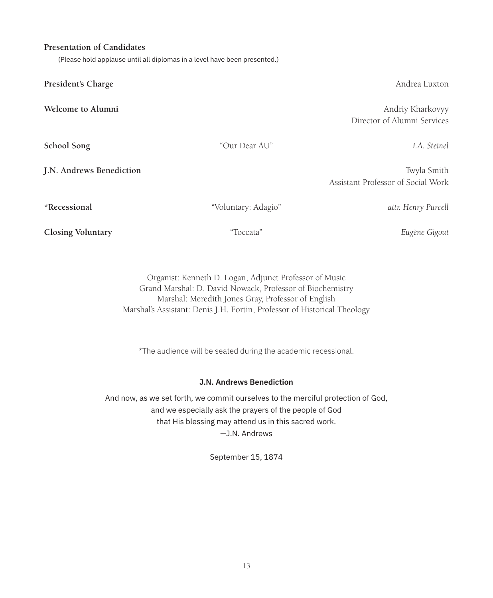### **Presentation of Candidates**

(Please hold applause until all diplomas in a level have been presented.)

**President's Charge** Andrea Luxton

**Closing Voluntary** "Toccata" *Eugène Gigout*

Organist: Kenneth D. Logan, Adjunct Professor of Music Grand Marshal: D. David Nowack, Professor of Biochemistry Marshal: Meredith Jones Gray, Professor of English Marshal's Assistant: Denis J.H. Fortin, Professor of Historical Theology

\*The audience will be seated during the academic recessional.

#### **J.N. Andrews Benediction**

And now, as we set forth, we commit ourselves to the merciful protection of God, and we especially ask the prayers of the people of God that His blessing may attend us in this sacred work. —J.N. Andrews

September 15, 1874

**Welcome to Alumni** Andriy Kharkovyy Director of Alumni Services

**J.N. Andrews Benediction** Twyla Smith Assistant Professor of Social Work

**\*Recessional** "Voluntary: Adagio" *attr. Henry Purcell*

**School Song** "Our Dear AU" *I.A. Steinel*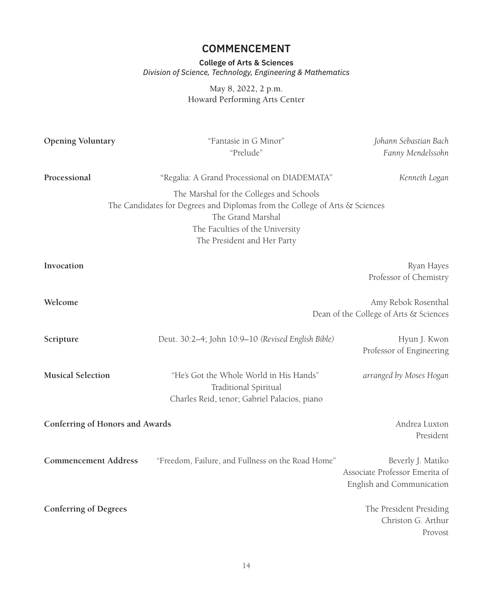# **COMMENCEMENT**

**College of Arts & Sciences** *Division of Science, Technology, Engineering & Mathematics*

> May 8, 2022, 2 p.m. Howard Performing Arts Center

| Opening Voluntary               | "Fantasie in G Minor"<br>"Prelude"                                                                                                                                                                             | Johann Sebastian Bach<br>Fanny Mendelssohn                                       |
|---------------------------------|----------------------------------------------------------------------------------------------------------------------------------------------------------------------------------------------------------------|----------------------------------------------------------------------------------|
| Processional                    | "Regalia: A Grand Processional on DIADEMATA"                                                                                                                                                                   | Kenneth Logan                                                                    |
|                                 | The Marshal for the Colleges and Schools<br>The Candidates for Degrees and Diplomas from the College of Arts & Sciences<br>The Grand Marshal<br>The Faculties of the University<br>The President and Her Party |                                                                                  |
| Invocation                      |                                                                                                                                                                                                                | Ryan Hayes<br>Professor of Chemistry                                             |
| Welcome                         |                                                                                                                                                                                                                | Amy Rebok Rosenthal<br>Dean of the College of Arts & Sciences                    |
| Scripture                       | Deut. 30:2-4; John 10:9-10 (Revised English Bible)                                                                                                                                                             | Hyun J. Kwon<br>Professor of Engineering                                         |
| <b>Musical Selection</b>        | "He's Got the Whole World in His Hands"<br>Traditional Spiritual<br>Charles Reid, tenor; Gabriel Palacios, piano                                                                                               | arranged by Moses Hogan                                                          |
| Conferring of Honors and Awards |                                                                                                                                                                                                                | Andrea Luxton<br>President                                                       |
| <b>Commencement Address</b>     | "Freedom, Failure, and Fullness on the Road Home"                                                                                                                                                              | Beverly J. Matiko<br>Associate Professor Emerita of<br>English and Communication |
| <b>Conferring of Degrees</b>    |                                                                                                                                                                                                                | The President Presiding<br>Christon G. Arthur<br>Provost                         |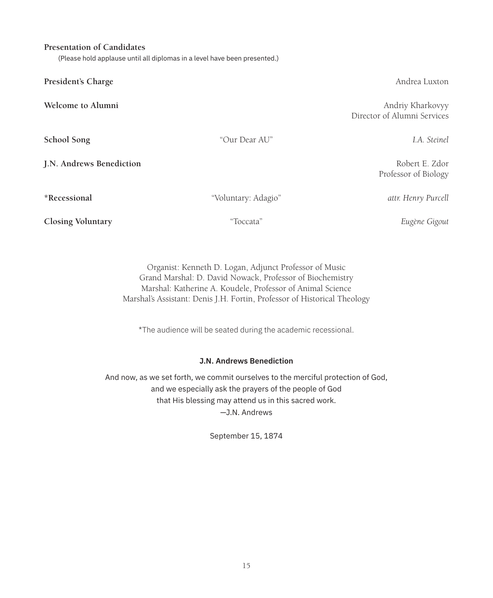15

#### **Presentation of Candidates**

(Please hold applause until all diplomas in a level have been presented.)

| President's Charge |  |
|--------------------|--|
|--------------------|--|

**School Song** "Our Dear AU" *I.A. Steinel*

**J.N. Andrews Benediction** Robert E. Zdor

**\*Recessional** "Voluntary: Adagio" *attr. Henry Purcell*

**Closing Voluntary** "Toccata" *Eugène Gigout*

Organist: Kenneth D. Logan, Adjunct Professor of Music Grand Marshal: D. David Nowack, Professor of Biochemistry Marshal: Katherine A. Koudele, Professor of Animal Science Marshal's Assistant: Denis J.H. Fortin, Professor of Historical Theology

\*The audience will be seated during the academic recessional.

#### **J.N. Andrews Benediction**

And now, as we set forth, we commit ourselves to the merciful protection of God, and we especially ask the prayers of the people of God that His blessing may attend us in this sacred work. —J.N. Andrews

September 15, 1874

**Andrea Luxton** 

**Welcome to Alumni** Andriy Kharkovyy Director of Alumni Services

Professor of Biology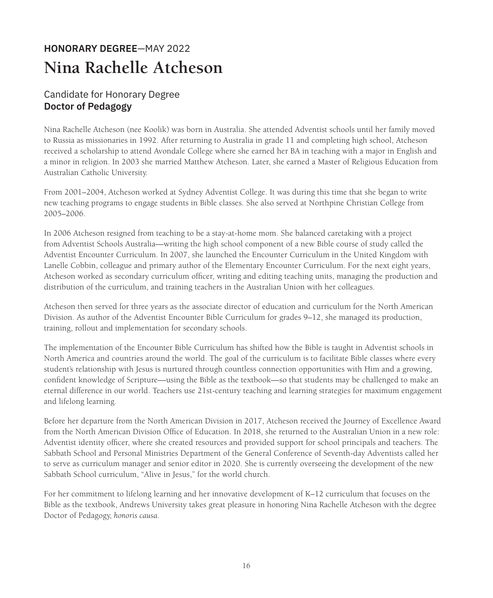# **HONORARY DEGREE**—MAY 2022 **Nina Rachelle Atcheson**

# Candidate for Honorary Degree **Doctor of Pedagogy**

Nina Rachelle Atcheson (nee Koolik) was born in Australia. She attended Adventist schools until her family moved to Russia as missionaries in 1992. After returning to Australia in grade 11 and completing high school, Atcheson received a scholarship to attend Avondale College where she earned her BA in teaching with a major in English and a minor in religion. In 2003 she married Matthew Atcheson. Later, she earned a Master of Religious Education from Australian Catholic University.

From 2001–2004, Atcheson worked at Sydney Adventist College. It was during this time that she began to write new teaching programs to engage students in Bible classes. She also served at Northpine Christian College from 2005–2006.

In 2006 Atcheson resigned from teaching to be a stay-at-home mom. She balanced caretaking with a project from Adventist Schools Australia—writing the high school component of a new Bible course of study called the Adventist Encounter Curriculum. In 2007, she launched the Encounter Curriculum in the United Kingdom with Lanelle Cobbin, colleague and primary author of the Elementary Encounter Curriculum. For the next eight years, Atcheson worked as secondary curriculum officer, writing and editing teaching units, managing the production and distribution of the curriculum, and training teachers in the Australian Union with her colleagues.

Atcheson then served for three years as the associate director of education and curriculum for the North American Division. As author of the Adventist Encounter Bible Curriculum for grades 9–12, she managed its production, training, rollout and implementation for secondary schools.

The implementation of the Encounter Bible Curriculum has shifted how the Bible is taught in Adventist schools in North America and countries around the world. The goal of the curriculum is to facilitate Bible classes where every student's relationship with Jesus is nurtured through countless connection opportunities with Him and a growing, confident knowledge of Scripture—using the Bible as the textbook—so that students may be challenged to make an eternal difference in our world. Teachers use 21st-century teaching and learning strategies for maximum engagement and lifelong learning.

Before her departure from the North American Division in 2017, Atcheson received the Journey of Excellence Award from the North American Division Office of Education. In 2018, she returned to the Australian Union in a new role: Adventist identity officer, where she created resources and provided support for school principals and teachers. The Sabbath School and Personal Ministries Department of the General Conference of Seventh-day Adventists called her to serve as curriculum manager and senior editor in 2020. She is currently overseeing the development of the new Sabbath School curriculum, "Alive in Jesus," for the world church.

For her commitment to lifelong learning and her innovative development of K–12 curriculum that focuses on the Bible as the textbook, Andrews University takes great pleasure in honoring Nina Rachelle Atcheson with the degree Doctor of Pedagogy, *honoris causa*.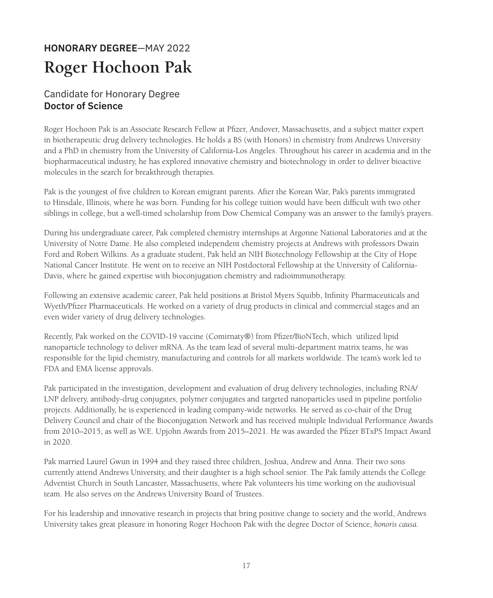# **HONORARY DEGREE**—MAY 2022 **Roger Hochoon Pak**

# Candidate for Honorary Degree **Doctor of Science**

Roger Hochoon Pak is an Associate Research Fellow at Pfizer, Andover, Massachusetts, and a subject matter expert in biotherapeutic drug delivery technologies. He holds a BS (with Honors) in chemistry from Andrews University and a PhD in chemistry from the University of California-Los Angeles. Throughout his career in academia and in the biopharmaceutical industry, he has explored innovative chemistry and biotechnology in order to deliver bioactive molecules in the search for breakthrough therapies.

Pak is the youngest of five children to Korean emigrant parents. After the Korean War, Pak's parents immigrated to Hinsdale, Illinois, where he was born. Funding for his college tuition would have been difficult with two other siblings in college, but a well-timed scholarship from Dow Chemical Company was an answer to the family's prayers.

During his undergraduate career, Pak completed chemistry internships at Argonne National Laboratories and at the University of Notre Dame. He also completed independent chemistry projects at Andrews with professors Dwain Ford and Robert Wilkins. As a graduate student, Pak held an NIH Biotechnology Fellowship at the City of Hope National Cancer Institute. He went on to receive an NIH Postdoctoral Fellowship at the University of California-Davis, where he gained expertise with bioconjugation chemistry and radioimmunotherapy.

Following an extensive academic career, Pak held positions at Bristol Myers Squibb, Infinity Pharmaceuticals and Wyeth/Pfizer Pharmaceuticals. He worked on a variety of drug products in clinical and commercial stages and an even wider variety of drug delivery technologies.

Recently, Pak worked on the COVID-19 vaccine (Comirnaty®) from Pfizer/BioNTech, which utilized lipid nanoparticle technology to deliver mRNA. As the team lead of several multi-department matrix teams, he was responsible for the lipid chemistry, manufacturing and controls for all markets worldwide. The team's work led to FDA and EMA license approvals.

Pak participated in the investigation, development and evaluation of drug delivery technologies, including RNA/ LNP delivery, antibody-drug conjugates, polymer conjugates and targeted nanoparticles used in pipeline portfolio projects. Additionally, he is experienced in leading company-wide networks. He served as co-chair of the Drug Delivery Council and chair of the Bioconjugation Network and has received multiple Individual Performance Awards from 2010–2015, as well as W.E. Upjohn Awards from 2015–2021. He was awarded the Pfizer BTxPS Impact Award in 2020.

Pak married Laurel Gwun in 1994 and they raised three children, Joshua, Andrew and Anna. Their two sons currently attend Andrews University, and their daughter is a high school senior. The Pak family attends the College Adventist Church in South Lancaster, Massachusetts, where Pak volunteers his time working on the audiovisual team. He also serves on the Andrews University Board of Trustees.

For his leadership and innovative research in projects that bring positive change to society and the world, Andrews University takes great pleasure in honoring Roger Hochoon Pak with the degree Doctor of Science, *honoris causa.*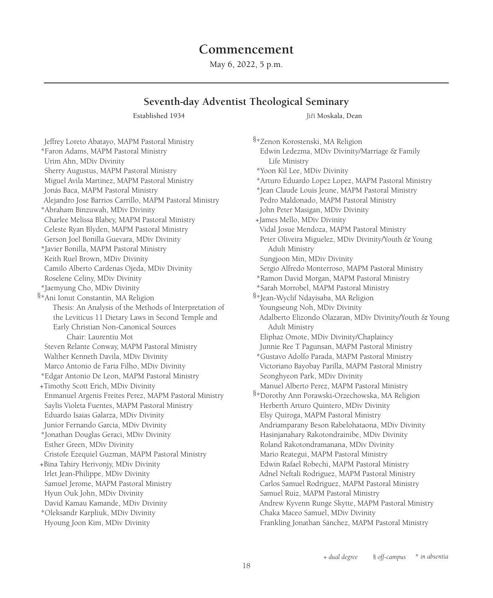# **Commencement**

May 6, 2022, 5 p.m.

# **Seventh-day Adventist Theological Seminary**

Established 1934 **Jehr Limbert Established 1934** Jiří Moskala, Dean

Jeffrey Loreto Abatayo, MAPM Pastoral Ministry \*Faron Adams, MAPM Pastoral Ministry Urim Ahn, MDiv Divinity Sherry Augustus, MAPM Pastoral Ministry Miguel Avila Martinez, MAPM Pastoral Ministry Jonás Baca, MAPM Pastoral Ministry Alejandro Jose Barrios Carrillo, MAPM Pastoral Ministry \*Abraham Binzuwah, MDiv Divinity Charlee Melissa Blabey, MAPM Pastoral Ministry Celeste Ryan Blyden, MAPM Pastoral Ministry Gerson Joel Bonilla Guevara, MDiv Divinity \*Javier Bonilla, MAPM Pastoral Ministry Keith Ruel Brown, MDiv Divinity Camilo Alberto Cardenas Ojeda, MDiv Divinity Roselene Celiny, MDiv Divinity \*Jaemyung Cho, MDiv Divinity §\*Ani Ionut Constantin, MA Religion Thesis: An Analysis of the Methods of Interpretation of the Leviticus 11 Dietary Laws in Second Temple and Early Christian Non-Canonical Sources Chair: Laurentiu Mot Steven Relante Conway, MAPM Pastoral Ministry Walther Kenneth Davila, MDiv Divinity Marco Antonio de Faria Filho, MDiv Divinity \*Edgar Antonio De Leon, MAPM Pastoral Ministry +Timothy Scott Erich, MDiv Divinity Enmanuel Argenis Freites Perez, MAPM Pastoral Ministry Saylis Violeta Fuentes, MAPM Pastoral Ministry Eduardo Isaias Galarza, MDiv Divinity Junior Fernando Garcia, MDiv Divinity \*Jonathan Douglas Geraci, MDiv Divinity Esther Green, MDiv Divinity Cristofe Ezequiel Guzman, MAPM Pastoral Ministry +Bina Tahiry Herivonjy, MDiv Divinity Irlet Jean-Philippe, MDiv Divinity Samuel Jerome, MAPM Pastoral Ministry Hyun Ouk John, MDiv Divinity David Kamau Kamande, MDiv Divinity \*Oleksandr Karpliuk, MDiv Divinity Hyoung Joon Kim, MDiv Divinity

§\*Zenon Korostenski, MA Religion Edwin Ledezma, MDiv Divinity/Marriage & Family Life Ministry \*Yoon Kil Lee, MDiv Divinity \*Arturo Eduardo Lopez Lopez, MAPM Pastoral Ministry \*Jean Claude Louis Jeune, MAPM Pastoral Ministry Pedro Maldonado, MAPM Pastoral Ministry John Peter Masigan, MDiv Divinity +James Mello, MDiv Divinity Vidal Josue Mendoza, MAPM Pastoral Ministry Peter Oliveira Miguelez, MDiv Divinity/Youth & Young Adult Ministry Sungjoon Min, MDiv Divinity Sergio Alfredo Monterroso, MAPM Pastoral Ministry \*Ramon David Morgan, MAPM Pastoral Ministry \*Sarah Morrobel, MAPM Pastoral Ministry §\*Jean-Wyclif Ndayisaba, MA Religion Youngseung Noh, MDiv Divinity Adalberto Elizondo Olazaran, MDiv Divinity/Youth & Young Adult Ministry Eliphaz Omote, MDiv Divinity/Chaplaincy Junnie Ree T Pagunsan, MAPM Pastoral Ministry \*Gustavo Adolfo Parada, MAPM Pastoral Ministry Victoriano Bayobay Parilla, MAPM Pastoral Ministry Seonghyeon Park, MDiv Divinity Manuel Alberto Perez, MAPM Pastoral Ministry §\*Dorothy Ann Porawski-Orzechowska, MA Religion Herberth Arturo Quintero, MDiv Divinity Elsy Quiroga, MAPM Pastoral Ministry Andriamparany Beson Rabelohataona, MDiv Divinity Hasinjanahary Rakotondrainibe, MDiv Divinity Roland Rakotondramanana, MDiv Divinity Mario Reategui, MAPM Pastoral Ministry Edwin Rafael Robechi, MAPM Pastoral Ministry Adnel Neftali Rodriguez, MAPM Pastoral Ministry Carlos Samuel Rodriguez, MAPM Pastoral Ministry Samuel Ruiz, MAPM Pastoral Ministry Andrew Kyvenn Runge Skytte, MAPM Pastoral Ministry Chaka Maceo Samuel, MDiv Divinity Frankling Jonathan Sánchez, MAPM Pastoral Ministry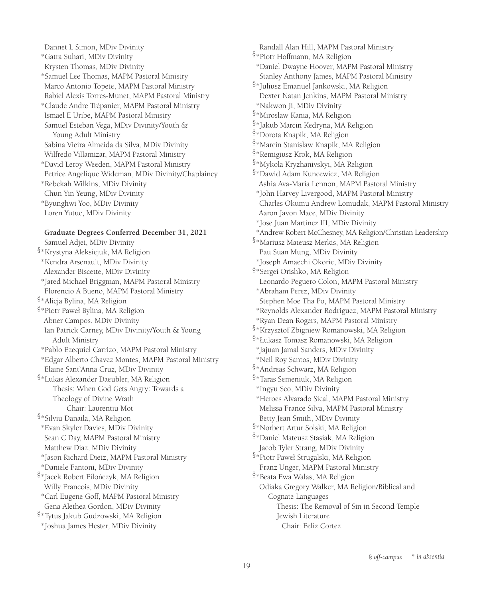Dannet L Simon, MDiv Divinity \*Gatra Suhari, MDiv Divinity Krysten Thomas, MDiv Divinity \*Samuel Lee Thomas, MAPM Pastoral Ministry Marco Antonio Topete, MAPM Pastoral Ministry Rabiel Alexis Torres-Munet, MAPM Pastoral Ministry \*Claude Andre Trépanier, MAPM Pastoral Ministry Ismael E Uribe, MAPM Pastoral Ministry Samuel Esteban Vega, MDiv Divinity/Youth & Young Adult Ministry Sabina Vieira Almeida da Silva, MDiv Divinity Wilfredo Villamizar, MAPM Pastoral Ministry \*David Leroy Weeden, MAPM Pastoral Ministry Petrice Angelique Wideman, MDiv Divinity/Chaplaincy \*Rebekah Wilkins, MDiv Divinity Chun Yin Yeung, MDiv Divinity \*Byunghwi Yoo, MDiv Divinity Loren Yutuc, MDiv Divinity

#### **Graduate Degrees Conferred December 31, 2021**

Samuel Adjei, MDiv Divinity §\*Krystyna Aleksiejuk, MA Religion \*Kendra Arsenault, MDiv Divinity Alexander Biscette, MDiv Divinity \*Jared Michael Briggman, MAPM Pastoral Ministry Florencio A Bueno, MAPM Pastoral Ministry §\*Alicja Bylina, MA Religion §\*Piotr Paweł Bylina, MA Religion Abner Campos, MDiv Divinity Ian Patrick Carney, MDiv Divinity/Youth & Young Adult Ministry \*Pablo Ezequiel Carrizo, MAPM Pastoral Ministry \*Edgar Alberto Chavez Montes, MAPM Pastoral Ministry Elaine Sant'Anna Cruz, MDiv Divinity §\*Lukas Alexander Daeubler, MA Religion Thesis: When God Gets Angry: Towards a Theology of Divine Wrath Chair: Laurentiu Mot §\*Silviu Danaila, MA Religion \*Evan Skyler Davies, MDiv Divinity Sean C Day, MAPM Pastoral Ministry Matthew Diaz, MDiv Divinity \*Jason Richard Dietz, MAPM Pastoral Ministry \*Daniele Fantoni, MDiv Divinity §\*Jacek Robert Filończyk, MA Religion Willy Francois, MDiv Divinity \*Carl Eugene Goff, MAPM Pastoral Ministry Gena Alethea Gordon, MDiv Divinity §\*Tytus Jakub Gudzowski, MA Religion \*Joshua James Hester, MDiv Divinity

Randall Alan Hill, MAPM Pastoral Ministry §\*Piotr Hoffmann, MA Religion \*Daniel Dwayne Hoover, MAPM Pastoral Ministry Stanley Anthony James, MAPM Pastoral Ministry §\*Juliusz Emanuel Jankowski, MA Religion Dexter Natan Jenkins, MAPM Pastoral Ministry \*Nakwon Ji, MDiv Divinity §\*Mirosław Kania, MA Religion §\*Jakub Marcin Kedryna, MA Religion §\*Dorota Knapik, MA Religion §\*Marcin Stanislaw Knapik, MA Religion §\*Remigiusz Krok, MA Religion §\*Mykola Kryzhanivskyi, MA Religion §\*Dawid Adam Kuncewicz, MA Religion Ashia Ava-Maria Lennon, MAPM Pastoral Ministry \*John Harvey Livergood, MAPM Pastoral Ministry Charles Okumu Andrew Lomudak, MAPM Pastoral Ministry Aaron Javon Mace, MDiv Divinity \*Jose Juan Martinez III, MDiv Divinity \*Andrew Robert McChesney, MA Religion/Christian Leadership §\*Mariusz Mateusz Merkis, MA Religion Pau Suan Mung, MDiv Divinity \*Joseph Amaechi Okorie, MDiv Divinity §\*Sergei Orishko, MA Religion Leonardo Peguero Colon, MAPM Pastoral Ministry \*Abraham Perez, MDiv Divinity Stephen Moe Tha Po, MAPM Pastoral Ministry \*Reynolds Alexander Rodriguez, MAPM Pastoral Ministry \*Ryan Dean Rogers, MAPM Pastoral Ministry §\*Krzysztof Zbigniew Romanowski, MA Religion §\*Łukasz Tomasz Romanowski, MA Religion \*Jajuan Jamal Sanders, MDiv Divinity \*Neil Roy Santos, MDiv Divinity §\*Andreas Schwarz, MA Religion §\*Taras Semeniuk, MA Religion \*Ingyu Seo, MDiv Divinity \*Heroes Alvarado Sical, MAPM Pastoral Ministry Melissa France Silva, MAPM Pastoral Ministry Betty Jean Smith, MDiv Divinity §\*Norbert Artur Solski, MA Religion §\*Daniel Mateusz Stasiak, MA Religion Jacob Tyler Strang, MDiv Divinity §\*Piotr Paweł Strugalski, MA Religion Franz Unger, MAPM Pastoral Ministry §\*Beata Ewa Walas, MA Religion Odiaka Gregory Walker, MA Religion/Biblical and Cognate Languages Thesis: The Removal of Sin in Second Temple Jewish Literature Chair: Feliz Cortez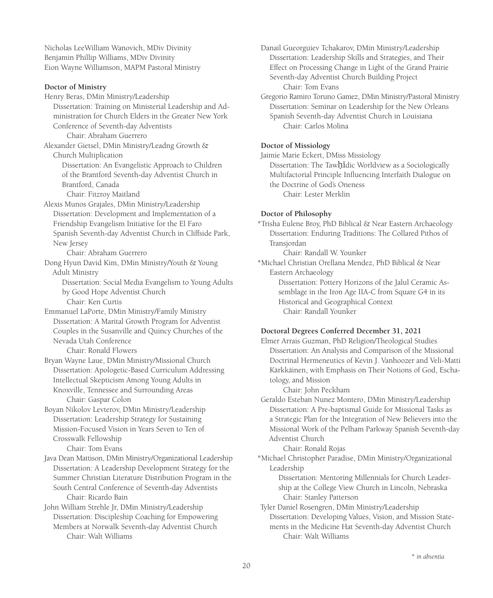Nicholas LeeWilliam Wanovich, MDiv Divinity Benjamin Phillip Williams, MDiv Divinity Eion Wayne Williamson, MAPM Pastoral Ministry

#### **Doctor of Ministry**

Henry Beras, DMin Ministry/Leadership Dissertation: Training on Ministerial Leadership and Administration for Church Elders in the Greater New York Conference of Seventh-day Adventists Chair: Abraham Guerrero Alexander Gietsel, DMin Ministry/Leadng Growth & Church Multiplication Dissertation: An Evangelistic Approach to Children of the Brantford Seventh-day Adventist Church in Brantford, Canada Chair: Fitzroy Maitland Alexis Munos Grajales, DMin Ministry/Leadership Dissertation: Development and Implementation of a Friendship Evangelism Initiative for the El Faro Spanish Seventh-day Adventist Church in Cliffside Park, New Jersey Chair: Abraham Guerrero Dong Hyun David Kim, DMin Ministry/Youth & Young Adult Ministry Dissertation: Social Media Evangelism to Young Adults by Good Hope Adventist Church Chair: Ken Curtis Emmanuel LaPorte, DMin Ministry/Family Ministry Dissertation: A Marital Growth Program for Adventist Couples in the Susanville and Quincy Churches of the Nevada Utah Conference Chair: Ronald Flowers Bryan Wayne Laue, DMin Ministry/Missional Church Dissertation: Apologetic-Based Curriculum Addressing Intellectual Skepticism Among Young Adults in Knoxville, Tennessee and Surrounding Areas Chair: Gaspar Colon Boyan Nikolov Levterov, DMin Ministry/Leadership Dissertation: Leadership Strategy for Sustaining Mission-Focused Vision in Years Seven to Ten of Crosswalk Fellowship Chair: Tom Evans Java Dean Mattison, DMin Ministry/Organizational Leadership Dissertation: A Leadership Development Strategy for the Summer Christian Literature Distribution Program in the South Central Conference of Seventh-day Adventists Chair: Ricardo Bain

John William Strehle Jr, DMin Ministry/Leadership Dissertation: Discipleship Coaching for Empowering Members at Norwalk Seventh-day Adventist Church Chair: Walt Williams

Danail Gueorguiev Tchakarov, DMin Ministry/Leadership Dissertation: Leadership Skills and Strategies, and Their Effect on Processing Change in Light of the Grand Prairie Seventh-day Adventist Church Building Project Chair: Tom Evans

Gregorio Ramiro Toruno Gamez, DMin Ministry/Pastoral Ministry Dissertation: Seminar on Leadership for the New Orleans Spanish Seventh-day Adventist Church in Louisiana Chair: Carlos Molina

#### **Doctor of Missiology**

Jaimie Marie Eckert, DMiss Missiology Dissertation: The Tawḥīdic Worldview as a Sociologically Multifactorial Principle Influencing Interfaith Dialogue on the Doctrine of God's Oneness Chair: Lester Merklin

#### **Doctor of Philosophy**

\*Trisha Eulene Broy, PhD Biblical & Near Eastern Archaeology Dissertation: Enduring Traditions: The Collared Pithos of Transjordan

Chair: Randall W. Younker

\*Michael Christian Orellana Mendez, PhD Biblical & Near Eastern Archaeology

Dissertation: Pottery Horizons of the Jalul Ceramic Assemblage in the Iron Age IIA-C from Square G4 in its Historical and Geographical Context Chair: Randall Younker

#### **Doctoral Degrees Conferred December 31, 2021**

Elmer Arrais Guzman, PhD Religion/Theological Studies Dissertation: An Analysis and Comparison of the Missional Doctrinal Hermeneutics of Kevin J. Vanhoozer and Veli-Matti Kärkkäinen, with Emphasis on Their Notions of God, Eschatology, and Mission

Chair: John Peckham

Geraldo Esteban Nunez Montero, DMin Ministry/Leadership Dissertation: A Pre-baptismal Guide for Missional Tasks as a Strategic Plan for the Integration of New Believers into the Missional Work of the Pelham Parkway Spanish Seventh-day Adventist Church

Chair: Ronald Rojas

\*Michael Christopher Paradise, DMin Ministry/Organizational Leadership

> Dissertation: Mentoring Millennials for Church Leadership at the College View Church in Lincoln, Nebraska Chair: Stanley Patterson

Tyler Daniel Rosengren, DMin Ministry/Leadership Dissertation: Developing Values, Vision, and Mission Statements in the Medicine Hat Seventh-day Adventist Church Chair: Walt Williams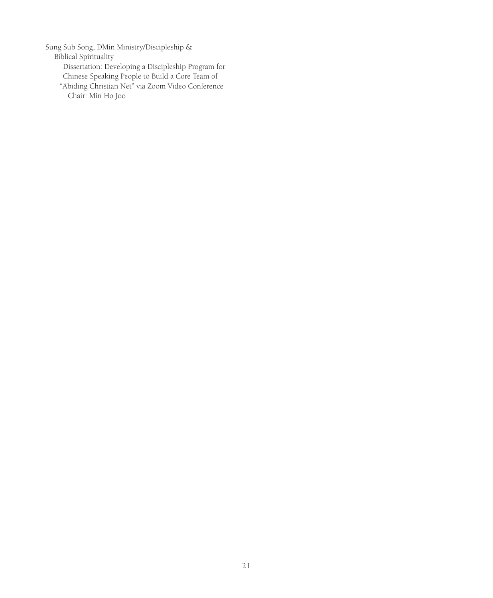Sung Sub Song, DMin Ministry/Discipleship &

Biblical Spirituality

Dissertation: Developing a Discipleship Program for

- Chinese Speaking People to Build a Core Team of
- "Abiding Christian Net" via Zoom Video Conference Chair: Min Ho Joo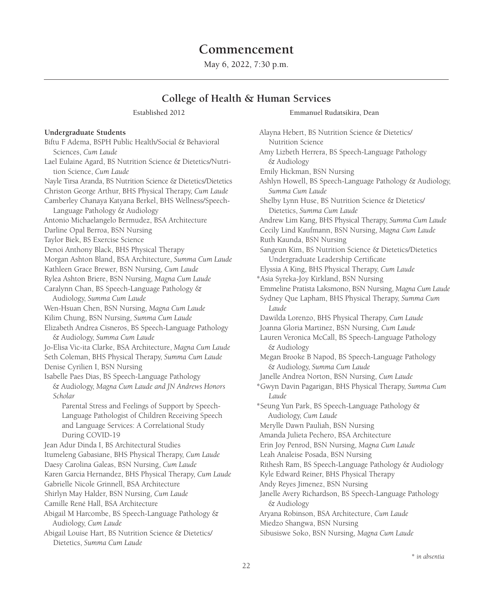# **Commencement**

May 6, 2022, 7:30 p.m.

### **College of Health & Human Services**

#### **Undergraduate Students**

Biftu F Adema, BSPH Public Health/Social & Behavioral Sciences, *Cum Laude* Lael Eulaine Agard, BS Nutrition Science & Dietetics/Nutrition Science, *Cum Laude* Nayle Tirsa Aranda, BS Nutrition Science & Dietetics/Dietetics Christon George Arthur, BHS Physical Therapy, *Cum Laude* Camberley Chanaya Katyana Berkel, BHS Wellness/Speech-Language Pathology & Audiology Antonio Michaelangelo Bermudez, BSA Architecture Darline Opal Berroa, BSN Nursing Taylor Biek, BS Exercise Science Denoi Anthony Black, BHS Physical Therapy Morgan Ashton Bland, BSA Architecture, *Summa Cum Laude* Kathleen Grace Brewer, BSN Nursing, *Cum Laude* Rylea Ashton Briere, BSN Nursing, *Magna Cum Laude* Caralynn Chan, BS Speech-Language Pathology & Audiology, *Summa Cum Laude* Wen-Hsuan Chen, BSN Nursing, *Magna Cum Laude* Kilim Chung, BSN Nursing, *Summa Cum Laude* Elizabeth Andrea Cisneros, BS Speech-Language Pathology & Audiology, *Summa Cum Laude* Jo-Elisa Vic-ita Clarke, BSA Architecture, *Magna Cum Laude* Seth Coleman, BHS Physical Therapy, *Summa Cum Laude* Denise Cyrilien I, BSN Nursing Isabelle Paes Dias, BS Speech-Language Pathology & Audiology, *Magna Cum Laude and JN Andrews Honors Scholar* Parental Stress and Feelings of Support by Speech-Language Pathologist of Children Receiving Speech and Language Services: A Correlational Study During COVID-19 Jean Adur Dinda I, BS Architectural Studies Itumeleng Gabasiane, BHS Physical Therapy, *Cum Laude* Daesy Carolina Galeas, BSN Nursing, *Cum Laude* Karen Garcia Hernandez, BHS Physical Therapy, *Cum Laude* Gabrielle Nicole Grinnell, BSA Architecture Shirlyn May Halder, BSN Nursing, *Cum Laude* Camille René Hall, BSA Architecture Abigail M Harcombe, BS Speech-Language Pathology & Audiology, *Cum Laude* Abigail Louise Hart, BS Nutrition Science & Dietetics/ Dietetics, *Summa Cum Laude*

Established 2012 Emmanuel Rudatsikira, Dean

Alayna Hebert, BS Nutrition Science & Dietetics/ Nutrition Science Amy Lizbeth Herrera, BS Speech-Language Pathology & Audiology Emily Hickman, BSN Nursing Ashlyn Howell, BS Speech-Language Pathology & Audiology, *Summa Cum Laude* Shelby Lynn Huse, BS Nutrition Science & Dietetics/ Dietetics, *Summa Cum Laude* Andrew Lim Kang, BHS Physical Therapy, *Summa Cum Laude* Cecily Lind Kaufmann, BSN Nursing, *Magna Cum Laude* Ruth Kaunda, BSN Nursing Sangeun Kim, BS Nutrition Science & Dietetics/Dietetics Undergraduate Leadership Certificate Elyssia A King, BHS Physical Therapy, *Cum Laude* \*Asia Syreka-Joy Kirkland, BSN Nursing Emmeline Pratista Laksmono, BSN Nursing, *Magna Cum Laude* Sydney Que Lapham, BHS Physical Therapy, *Summa Cum Laude* Dawilda Lorenzo, BHS Physical Therapy, *Cum Laude* Joanna Gloria Martinez, BSN Nursing, *Cum Laude* Lauren Veronica McCall, BS Speech-Language Pathology & Audiology Megan Brooke B Napod, BS Speech-Language Pathology & Audiology, *Summa Cum Laude* Janelle Andrea Norton, BSN Nursing, *Cum Laude* \*Gwyn Davin Pagarigan, BHS Physical Therapy, *Summa Cum Laude* \*Seung Yun Park, BS Speech-Language Pathology & Audiology, *Cum Laude* Merylle Dawn Pauliah, BSN Nursing Amanda Julieta Pechero, BSA Architecture Erin Joy Penrod, BSN Nursing, *Magna Cum Laude* Leah Analeise Posada, BSN Nursing Rithesh Ram, BS Speech-Language Pathology & Audiology Kyle Edward Reiner, BHS Physical Therapy Andy Reyes Jimenez, BSN Nursing Janelle Avery Richardson, BS Speech-Language Pathology & Audiology Aryana Robinson, BSA Architecture, *Cum Laude* Miedzo Shangwa, BSN Nursing Sibusiswe Soko, BSN Nursing, *Magna Cum Laude*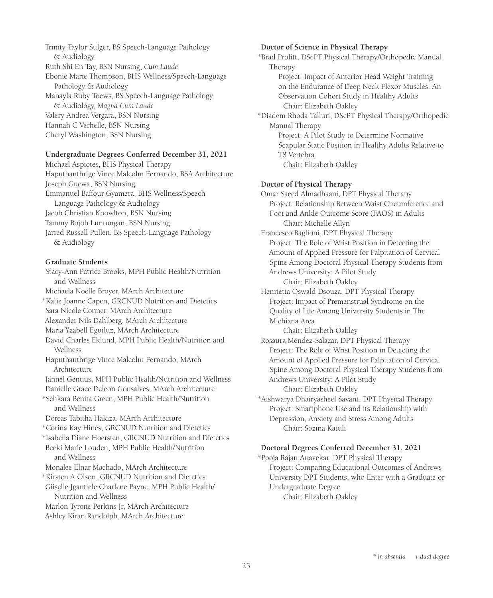Trinity Taylor Sulger, BS Speech-Language Pathology & Audiology Ruth Shi En Tay, BSN Nursing, *Cum Laude* Ebonie Marie Thompson, BHS Wellness/Speech-Language Pathology & Audiology Mahayla Ruby Toews, BS Speech-Language Pathology & Audiology, *Magna Cum Laude* Valery Andrea Vergara, BSN Nursing Hannah C Verhelle, BSN Nursing Cheryl Washington, BSN Nursing

#### **Undergraduate Degrees Conferred December 31, 2021**

Michael Aspiotes, BHS Physical Therapy Haputhanthrige Vince Malcolm Fernando, BSA Architecture Joseph Gucwa, BSN Nursing Emmanuel Baffour Gyamera, BHS Wellness/Speech Language Pathology & Audiology Jacob Christian Knowlton, BSN Nursing Tammy Bojoh Luntungan, BSN Nursing Jarred Russell Pullen, BS Speech-Language Pathology & Audiology

#### **Graduate Students**

Stacy-Ann Patrice Brooks, MPH Public Health/Nutrition and Wellness Michaela Noelle Broyer, MArch Architecture \*Katie Joanne Capen, GRCNUD Nutrition and Dietetics Sara Nicole Conner, MArch Architecture Alexander Nils Dahlberg, MArch Architecture Maria Yzabell Eguiluz, MArch Architecture David Charles Eklund, MPH Public Health/Nutrition and Wellness Haputhanthrige Vince Malcolm Fernando, MArch Architecture Jannel Gentius, MPH Public Health/Nutrition and Wellness Danielle Grace Deleon Gonsalves, MArch Architecture \*Schkara Benita Green, MPH Public Health/Nutrition and Wellness Dorcas Tabitha Hakiza, MArch Architecture \*Corina Kay Hines, GRCNUD Nutrition and Dietetics \*Isabella Diane Hoersten, GRCNUD Nutrition and Dietetics Becki Marie Louden, MPH Public Health/Nutrition and Wellness Monalee Elnar Machado, MArch Architecture \*Kirsten A Olson, GRCNUD Nutrition and Dietetics Giiselle Jgantiele Charlene Payne, MPH Public Health/ Nutrition and Wellness Marlon Tyrone Perkins Jr, MArch Architecture Ashley Kiran Randolph, MArch Architecture

#### **Doctor of Science in Physical Therapy**

\*Brad Profitt, DScPT Physical Therapy/Orthopedic Manual Therapy Project: Impact of Anterior Head Weight Training on the Endurance of Deep Neck Flexor Muscles: An

Observation Cohort Study in Healthy Adults

Chair: Elizabeth Oakley

\*Diadem Rhoda Talluri, DScPT Physical Therapy/Orthopedic Manual Therapy

Project: A Pilot Study to Determine Normative Scapular Static Position in Healthy Adults Relative to T8 Vertebra Chair: Elizabeth Oakley

#### **Doctor of Physical Therapy**

Omar Saeed Almadhaani, DPT Physical Therapy Project: Relationship Between Waist Circumference and Foot and Ankle Outcome Score (FAOS) in Adults Chair: Michelle Allyn Francesco Baglioni, DPT Physical Therapy Project: The Role of Wrist Position in Detecting the Amount of Applied Pressure for Palpitation of Cervical Spine Among Doctoral Physical Therapy Students from Andrews University: A Pilot Study Chair: Elizabeth Oakley Henrietta Oswald Dsouza, DPT Physical Therapy Project: Impact of Premenstrual Syndrome on the Quality of Life Among University Students in The Michiana Area Chair: Elizabeth Oakley

Rosaura Méndez-Salazar, DPT Physical Therapy Project: The Role of Wrist Position in Detecting the Amount of Applied Pressure for Palpitation of Cervical Spine Among Doctoral Physical Therapy Students from Andrews University: A Pilot Study Chair: Elizabeth Oakley

\*Aishwarya Dhairyasheel Savant, DPT Physical Therapy Project: Smartphone Use and its Relationship with Depression, Anxiety and Stress Among Adults Chair: Sozina Katuli

#### **Doctoral Degrees Conferred December 31, 2021**

\*Pooja Rajan Anavekar, DPT Physical Therapy Project: Comparing Educational Outcomes of Andrews University DPT Students, who Enter with a Graduate or Undergraduate Degree Chair: Elizabeth Oakley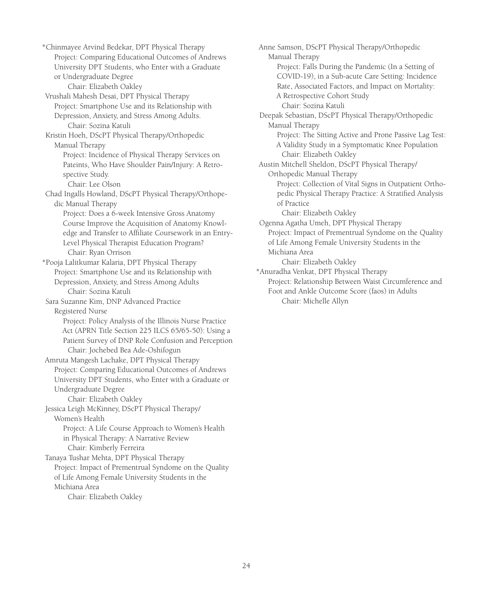\*Chinmayee Arvind Bedekar, DPT Physical Therapy Project: Comparing Educational Outcomes of Andrews University DPT Students, who Enter with a Graduate or Undergraduate Degree Chair: Elizabeth Oakley Vrushali Mahesh Desai, DPT Physical Therapy Project: Smartphone Use and its Relationship with Depression, Anxiety, and Stress Among Adults. Chair: Sozina Katuli Kristin Hoeh, DScPT Physical Therapy/Orthopedic Manual Therapy Project: Incidence of Physical Therapy Services on Pateints, Who Have Shoulder Pain/Injury: A Retrospective Study. Chair: Lee Olson Chad Ingalls Howland, DScPT Physical Therapy/Orthopedic Manual Therapy Project: Does a 6-week Intensive Gross Anatomy Course Improve the Acquisition of Anatomy Knowledge and Transfer to Affiliate Coursework in an Entry-Level Physical Therapist Education Program? Chair: Ryan Orrison \*Pooja Lalitkumar Kalaria, DPT Physical Therapy Project: Smartphone Use and its Relationship with Depression, Anxiety, and Stress Among Adults Chair: Sozina Katuli Sara Suzanne Kim, DNP Advanced Practice Registered Nurse Project: Policy Analysis of the Illinois Nurse Practice Act (APRN Title Section 225 ILCS 65/65-50): Using a Patient Survey of DNP Role Confusion and Perception Chair: Jochebed Bea Ade-Oshifogun Amruta Mangesh Lachake, DPT Physical Therapy Project: Comparing Educational Outcomes of Andrews University DPT Students, who Enter with a Graduate or Undergraduate Degree Chair: Elizabeth Oakley Jessica Leigh McKinney, DScPT Physical Therapy/ Women's Health Project: A Life Course Approach to Women's Health in Physical Therapy: A Narrative Review Chair: Kimberly Ferreira Tanaya Tushar Mehta, DPT Physical Therapy Project: Impact of Prementrual Syndome on the Quality of Life Among Female University Students in the Michiana Area Chair: Elizabeth Oakley

Anne Samson, DScPT Physical Therapy/Orthopedic Manual Therapy Project: Falls During the Pandemic (In a Setting of COVID-19), in a Sub-acute Care Setting: Incidence Rate, Associated Factors, and Impact on Mortality: A Retrospective Cohort Study Chair: Sozina Katuli Deepak Sebastian, DScPT Physical Therapy/Orthopedic Manual Therapy Project: The Sitting Active and Prone Passive Lag Test: A Validity Study in a Symptomatic Knee Population Chair: Elizabeth Oakley Austin Mitchell Sheldon, DScPT Physical Therapy/ Orthopedic Manual Therapy Project: Collection of Vital Signs in Outpatient Orthopedic Physical Therapy Practice: A Stratified Analysis of Practice Chair: Elizabeth Oakley Ogenna Agatha Umeh, DPT Physical Therapy Project: Impact of Prementrual Syndome on the Quality of Life Among Female University Students in the Michiana Area Chair: Elizabeth Oakley \*Anuradha Venkat, DPT Physical Therapy Project: Relationship Between Waist Circumference and Foot and Ankle Outcome Score (faos) in Adults Chair: Michelle Allyn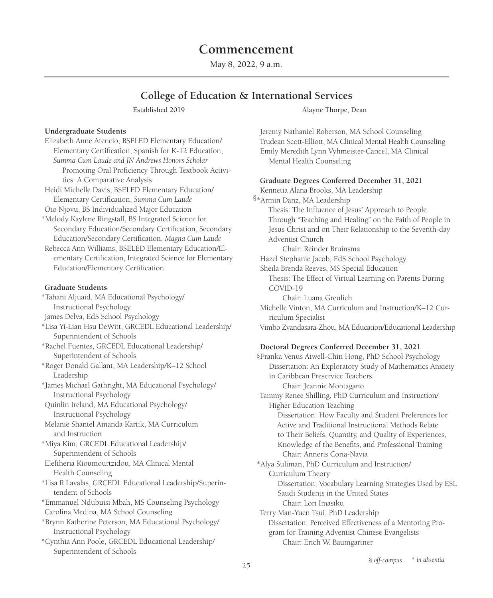# **Commencement**

May 8, 2022, 9 a.m.

# **College of Education & International Services**

#### **Undergraduate Students**

- Elizabeth Anne Atencio, BSELED Elementary Education/ Elementary Certification, Spanish for K-12 Education, *Summa Cum Laude and JN Andrews Honors Scholar* Promoting Oral Proficiency Through Textbook Activities: A Comparative Analysis Heidi Michelle Davis, BSELED Elementary Education/ Elementary Certification, *Summa Cum Laude* Oto Njovu, BS Individualized Major Education \*Melody Kaylene Ringstaff, BS Integrated Science for Secondary Education/Secondary Certification, Secondary Education/Secondary Certification, *Magna Cum Laude* Rebecca Ann Williams, BSELED Elementary Education/Elementary Certification, Integrated Science for Elementary
- Education/Elementary Certification

#### **Graduate Students**

\*Tahani Aljuaid, MA Educational Psychology/ Instructional Psychology

- James Delva, EdS School Psychology
- \*Lisa Yi-Lian Hsu DeWitt, GRCEDL Educational Leadership/ Superintendent of Schools
- \*Rachel Fuentes, GRCEDL Educational Leadership/ Superintendent of Schools
- \*Roger Donald Gallant, MA Leadership/K–12 School Leadership
- \*James Michael Gathright, MA Educational Psychology/ Instructional Psychology
- Quinlin Ireland, MA Educational Psychology/ Instructional Psychology
- Melanie Shantel Amanda Kartik, MA Curriculum and Instruction
- \*Miya Kim, GRCEDL Educational Leadership/ Superintendent of Schools
- Eleftheria Kioumourtzidou, MA Clinical Mental Health Counseling
- \*Lisa R Lavalas, GRCEDL Educational Leadership/Superintendent of Schools
- \*Emmanuel Ndubuisi Mbah, MS Counseling Psychology Carolina Medina, MA School Counseling
- \*Brynn Katherine Peterson, MA Educational Psychology/ Instructional Psychology
- \*Cynthia Ann Poole, GRCEDL Educational Leadership/ Superintendent of Schools

Established 2019 Alayne Thorpe, Dean

Jeremy Nathaniel Roberson, MA School Counseling Trudean Scott-Elliott, MA Clinical Mental Health Counseling Emily Meredith Lynn Vyhmeister-Cancel, MA Clinical Mental Health Counseling

#### **Graduate Degrees Conferred December 31, 2021**

Kennetia Alana Brooks, MA Leadership §\*Armin Danz, MA Leadership Thesis: The Influence of Jesus' Approach to People Through "Teaching and Healing" on the Faith of People in Jesus Christ and on Their Relationship to the Seventh-day Adventist Church Chair: Reinder Bruinsma Hazel Stephanie Jacob, EdS School Psychology Sheila Brenda Reeves, MS Special Education Thesis: The Effect of Virtual Learning on Parents During COVID-19 Chair: Luana Greulich Michelle Vinton, MA Curriculum and Instruction/K–12 Curriculum Specialist Vimbo Zvandasara-Zhou, MA Education/Educational Leadership

#### **Doctoral Degrees Conferred December 31, 2021**

 §Franka Venus Atwell-Chin Hong, PhD School Psychology Dissertation: An Exploratory Study of Mathematics Anxiety in Caribbean Preservice Teachers Chair: Jeannie Montagano Tammy Renee Shilling, PhD Curriculum and Instruction/ Higher Education Teaching Dissertation: How Faculty and Student Preferences for Active and Traditional Instructional Methods Relate to Their Beliefs, Quantity, and Quality of Experiences, Knowledge of the Benefits, and Professional Training Chair: Anneris Coria-Navia \*Alya Suliman, PhD Curriculum and Instruction/ Curriculum Theory Dissertation: Vocabulary Learning Strategies Used by ESL Saudi Students in the United States Chair: Lori Imasiku Terry Man-Yuen Tsui, PhD Leadership Dissertation: Perceived Effectiveness of a Mentoring Program for Training Adventist Chinese Evangelists Chair: Erich W. Baumgartner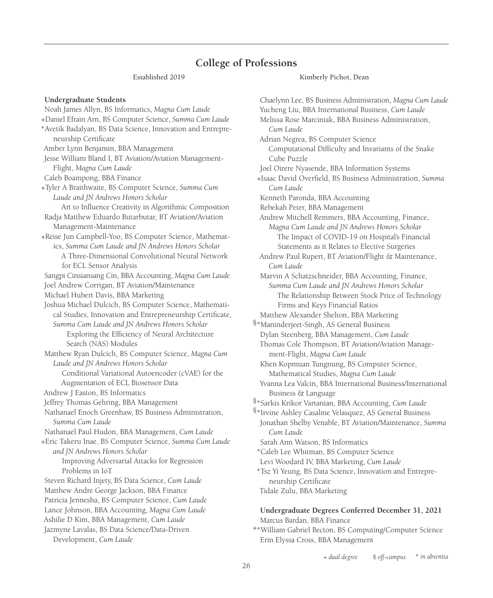# **College of Professions**

#### Established 2019 Kimberly Pichot, Dean

**Undergraduate Students**  Noah James Allyn, BS Informatics, *Magna Cum Laude* +Daniel Efrain Arn, BS Computer Science, *Summa Cum Laude* \*Avetik Badalyan, BS Data Science, Innovation and Entrepreneurship Certificate Amber Lynn Benjamin, BBA Management Jesse William Bland I, BT Aviation/Aviation Management-Flight, *Magna Cum Laude* Caleb Boampong, BBA Finance +Tyler A Braithwaite, BS Computer Science, *Summa Cum Laude and JN Andrews Honors Scholar* Art to Influence Creativity in Algorithmic Composition Radja Matthew Eduardo Butarbutar, BT Aviation/Aviation Management-Maintenance +Reise Jun Campbell-Yoo, BS Computer Science, Mathematics, *Summa Cum Laude and JN Andrews Honors Scholar* A Three-Dimensional Convolutional Neural Network for ECL Sensor Analysis Sangpi Cinsiansang Cin, BBA Accounting, *Magna Cum Laude* Joel Andrew Corrigan, BT Aviation/Maintenance Michael Hubert Davis, BBA Marketing Joshua Michael Dulcich, BS Computer Science, Mathematical Studies, Innovation and Entrepreneurship Certificate, *Summa Cum Laude and JN Andrews Honors Scholar* Exploring the Efficiency of Neural Architecture Search (NAS) Modules Matthew Ryan Dulcich, BS Computer Science, *Magna Cum Laude and JN Andrews Honors Scholar* Conditional Variational Autoencoder (cVAE) for the Augmentation of ECL Biosensor Data Andrew J Easton, BS Informatics Jeffrey Thomas Gehring, BBA Management Nathanael Enoch Greenhaw, BS Business Administration, *Summa Cum Laude* Nathanael Paul Hudon, BBA Management, *Cum Laude* +Eric Takeru Inae, BS Computer Science, *Summa Cum Laude and JN Andrews Honors Scholar* Improving Adversarial Attacks for Regression Problems in IoT Steven Richard Injety, BS Data Science, *Cum Laude* Matthew Andre George Jackson, BBA Finance Patricia Jennesha, BS Computer Science, *Cum Laude* Lance Johnson, BBA Accounting, *Magna Cum Laude* Ashilie D Kim, BBA Management, *Cum Laude* Jazmyne Lavalas, BS Data Science/Data-Driven Development, *Cum Laude*

Chaelynn Lee, BS Business Administration, *Magna Cum Laude* Yucheng Liu, BBA International Business, *Cum Laude* Melissa Rose Marciniak, BBA Business Administration, *Cum Laude* Adrian Negrea, BS Computer Science Computational Difficulty and Invariants of the Snake Cube Puzzle Joel Oirere Nyasende, BBA Information Systems +Isaac David Overfield, BS Business Administration, *Summa Cum Laude* Kenneth Paronda, BBA Accounting Rebekah Peter, BBA Management Andrew Mitchell Remmers, BBA Accounting, Finance, *Magna Cum Laude and JN Andrews Honors Scholar* The Impact of COVID-19 on Hospital's Financial Statements as it Relates to Elective Surgeries Andrew Paul Rupert, BT Aviation/Flight & Maintenance, *Cum Laude* Marvin A Schatzschneider, BBA Accounting, Finance, *Summa Cum Laude and JN Andrews Honors Scholar* The Relationship Between Stock Price of Technology Firms and Keys Financial Ratios Matthew Alexander Shelton, BBA Marketing §\*Maninderjeet-Singh, AS General Business Dylan Steenberg, BBA Management, *Cum Laude* Thomas Cole Thompson, BT Aviation/Aviation Management-Flight, *Magna Cum Laude* Khen Kopmuan Tungnung, BS Computer Science, Mathematical Studies, *Magna Cum Laude* Yvanna Lea Valcin, BBA International Business/International Business & Language \*Sarkis Krikor Vartanian, BBA Accounting, *Cum Laude* § §\*Irvine Ashley Casalme Velasquez, AS General Business Jonathan Shelby Venable, BT Aviation/Maintenance, *Summa Cum Laude* Sarah Ann Watson, BS Informatics \*Caleb Lee Whitman, BS Computer Science Levi Woodard IV, BBA Marketing, *Cum Laude* \*Tsz Yi Yeung, BS Data Science, Innovation and Entrepreneurship Certificate Tidale Zulu, BBA Marketing

#### **Undergraduate Degrees Conferred December 31, 2021**  Marcus Bardan, BBA Finance

\*William Gabriel Becton, BS Computing/Computer Science + Erin Elyssa Cross, BBA Management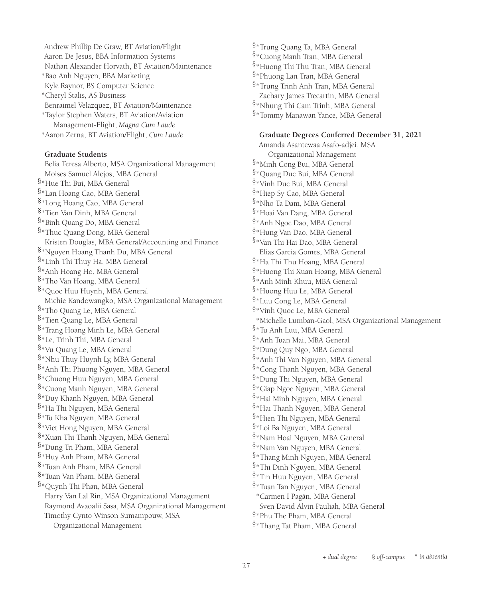Andrew Phillip De Graw, BT Aviation/Flight Aaron De Jesus, BBA Information Systems Nathan Alexander Horvath, BT Aviation/Maintenance \*Bao Anh Nguyen, BBA Marketing Kyle Raynor, BS Computer Science \*Cheryl Stalis, AS Business Benraimel Velazquez, BT Aviation/Maintenance \*Taylor Stephen Waters, BT Aviation/Aviation Management-Flight, *Magna Cum Laude* \*Aaron Zerna, BT Aviation/Flight, *Cum Laude*

#### **Graduate Students**

Belia Teresa Alberto, MSA Organizational Management Moises Samuel Alejos, MBA General §\*Hue Thi Bui, MBA General §\*Lan Hoang Cao, MBA General §\*Long Hoang Cao, MBA General §\*Tien Van Dinh, MBA General §\*Binh Quang Do, MBA General §\*Thuc Quang Dong, MBA General Kristen Douglas, MBA General/Accounting and Finance §\*Nguyen Hoang Thanh Du, MBA General §\*Linh Thi Thuy Ha, MBA General §\*Anh Hoang Ho, MBA General §\*Tho Van Hoang, MBA General §\*Quoc Huu Huynh, MBA General Michie Kandowangko, MSA Organizational Management §\*Tho Quang Le, MBA General §\*Tien Quang Le, MBA General §\*Trang Hoang Minh Le, MBA General §\*Le, Trinh Thi, MBA General §\*Vu Quang Le, MBA General §\*Nhu Thuy Huynh Ly, MBA General §\*Anh Thi Phuong Nguyen, MBA General §\*Chuong Huu Nguyen, MBA General §\*Cuong Manh Nguyen, MBA General §\*Duy Khanh Nguyen, MBA General §\*Ha Thi Nguyen, MBA General §\*Tu Kha Nguyen, MBA General §\*Viet Hong Nguyen, MBA General §\*Xuan Thi Thanh Nguyen, MBA General §\*Dung Tri Pham, MBA General §\*Huy Anh Pham, MBA General §\*Tuan Anh Pham, MBA General §\*Tuan Van Pham, MBA General §\*Quynh Thi Phan, MBA General Harry Van Lal Rin, MSA Organizational Management Raymond Avaoalii Sasa, MSA Organizational Management Timothy Cynto Winson Sumampouw, MSA Organizational Management

§\*Trung Quang Ta, MBA General §\*Cuong Manh Tran, MBA General §\*Huong Thi Thu Tran, MBA General §\*Phuong Lan Tran, MBA General §\*Trung Trinh Anh Tran, MBA General Zachary James Trecartin, MBA General §\*Nhung Thi Cam Trinh, MBA General §\*Tommy Manawan Yance, MBA General

#### **Graduate Degrees Conferred December 31, 2021**

Amanda Asantewaa Asafo-adjei, MSA Organizational Management §\*Minh Cong Bui, MBA General §\*Quang Duc Bui, MBA General §\*Vinh Duc Bui, MBA General §\*Hiep Sy Cao, MBA General §\*Nho Ta Dam, MBA General §\*Hoai Van Dang, MBA General §\*Anh Ngoc Dao, MBA General §\*Hung Van Dao, MBA General §\*Van Thi Hai Dao, MBA General Elias Garcia Gomes, MBA General §\*Ha Thi Thu Hoang, MBA General §\*Huong Thi Xuan Hoang, MBA General §\*Anh Minh Khuu, MBA General §\*Huong Huu Le, MBA General §\*Luu Cong Le, MBA General §\*Vinh Quoc Le, MBA General \*Michelle Lumban-Gaol, MSA Organizational Management  $8*$ Tu Anh Luu, MBA General §\*Anh Tuan Mai, MBA General §\*Dung Quy Ngo, MBA General §\*Anh Thi Van Nguyen, MBA General §\*Cong Thanh Nguyen, MBA General §\*Dung Thi Nguyen, MBA General §\*Giap Ngoc Nguyen, MBA General §\*Hai Minh Nguyen, MBA General §\*Hai Thanh Nguyen, MBA General §\*Hien Thi Nguyen, MBA General §\*Loi Ba Nguyen, MBA General §\*Nam Hoai Nguyen, MBA General §\*Nam Van Nguyen, MBA General §\*Thang Minh Nguyen, MBA General §\*Thi Dinh Nguyen, MBA General §\*Tin Huu Nguyen, MBA General §\*Tuan Tan Nguyen, MBA General \*Carmen I Pagán, MBA General Sven David Alvin Pauliah, MBA General §\*Phu The Pham, MBA General §\*Thang Tat Pham, MBA General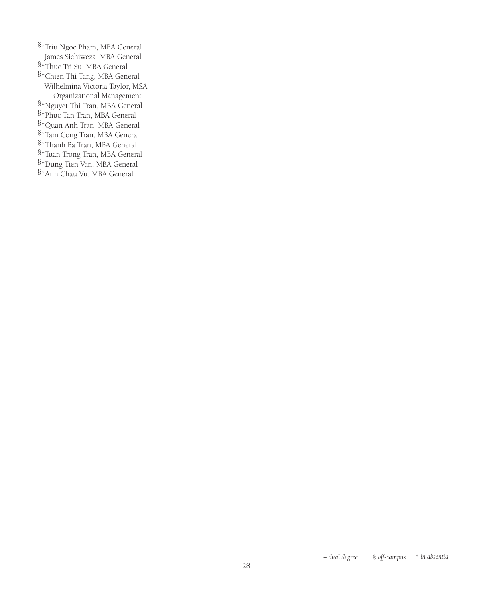§\*Triu Ngoc Pham, MBA General James Sichiweza, MBA General  $8*$ Thuc Tri Su, MBA General §\*Chien Thi Tang, MBA General Wilhelmina Victoria Taylor, MSA Organizational Management \*Nguyet Thi Tran, MBA General § §\*Phuc Tan Tran, MBA General §\*Quan Anh Tran, MBA General §\*Tam Cong Tran, MBA General §\*Thanh Ba Tran, MBA General §\*Tuan Trong Tran, MBA General §\*Dung Tien Van, MBA General §\*Anh Chau Vu, MBA General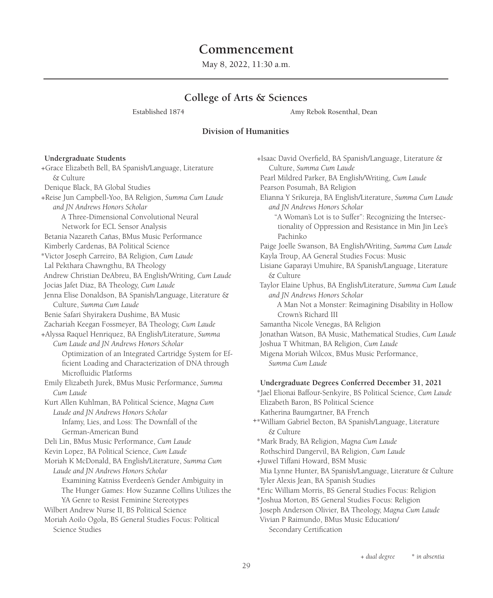# **Commencement**

May 8, 2022, 11:30 a.m.

### **College of Arts & Sciences**

Established 1874 Amy Rebok Rosenthal, Dean

+Isaac David Overfield, BA Spanish/Language, Literature &

#### **Division of Humanities**

#### **Undergraduate Students**

 +Grace Elizabeth Bell, BA Spanish/Language, Literature & Culture Denique Black, BA Global Studies +Reise Jun Campbell-Yoo, BA Religion, *Summa Cum Laude and JN Andrews Honors Scholar* A Three-Dimensional Convolutional Neural Network for ECL Sensor Analysis Betania Nazareth Cañas, BMus Music Performance Kimberly Cardenas, BA Political Science \*Victor Joseph Carreiro, BA Religion, *Cum Laude* Lal Pekthara Chawngthu, BA Theology Andrew Christian DeAbreu, BA English/Writing, *Cum Laude* Jocias Jafet Diaz, BA Theology, *Cum Laude* Jenna Elise Donaldson, BA Spanish/Language, Literature & Culture, *Summa Cum Laude* Benie Safari Shyirakera Dushime, BA Music Zachariah Keegan Fossmeyer, BA Theology, *Cum Laude* +Alyssa Raquel Henriquez, BA English/Literature, *Summa Cum Laude and JN Andrews Honors Scholar* Optimization of an Integrated Cartridge System for Efficient Loading and Characterization of DNA through Microfluidic Platforms Emily Elizabeth Jurek, BMus Music Performance, *Summa Cum Laude* Kurt Allen Kuhlman, BA Political Science, *Magna Cum Laude and JN Andrews Honors Scholar* Infamy, Lies, and Loss: The Downfall of the German-American Bund Deli Lin, BMus Music Performance, *Cum Laude* Kevin Lopez, BA Political Science, *Cum Laude* Moriah K McDonald, BA English/Literature, *Summa Cum Laude and JN Andrews Honors Scholar* Examining Katniss Everdeen's Gender Ambiguity in The Hunger Games: How Suzanne Collins Utilizes the YA Genre to Resist Feminine Stereotypes Wilbert Andrew Nurse II, BS Political Science Moriah Aoilo Ogola, BS General Studies Focus: Political Science Studies

Culture, *Summa Cum Laude* Pearl Mildred Parker, BA English/Writing, *Cum Laude* Pearson Posumah, BA Religion Elianna Y Srikureja, BA English/Literature, *Summa Cum Laude and JN Andrews Honors Scholar* "A Woman's Lot is to Suffer": Recognizing the Intersectionality of Oppression and Resistance in Min Jin Lee's Pachinko Paige Joelle Swanson, BA English/Writing, *Summa Cum Laude* Kayla Troup, AA General Studies Focus: Music Lisiane Gaparayi Umuhire, BA Spanish/Language, Literature & Culture Taylor Elaine Uphus, BA English/Literature, *Summa Cum Laude and JN Andrews Honors Scholar* A Man Not a Monster: Reimagining Disability in Hollow Crown's Richard III Samantha Nicole Venegas, BA Religion Jonathan Watson, BA Music, Mathematical Studies, *Cum Laude* Joshua T Whitman, BA Religion, *Cum Laude* Migena Moriah Wilcox, BMus Music Performance, *Summa Cum Laude* **Undergraduate Degrees Conferred December 31, 2021**  \*Jael Elionai Baffour-Senkyire, BS Political Science, *Cum Laude* Elizabeth Baron, BS Political Science Katherina Baumgartner, BA French \*William Gabriel Becton, BA Spanish/Language, Literature + & Culture \*Mark Brady, BA Religion, *Magna Cum Laude* Rothschird Dangervil, BA Religion, *Cum Laude* +Juwel Tiffani Howard, BSM Music Mia Lynne Hunter, BA Spanish/Language, Literature & Culture Tyler Alexis Jean, BA Spanish Studies \*Eric William Morris, BS General Studies Focus: Religion \*Joshua Morton, BS General Studies Focus: Religion Joseph Anderson Olivier, BA Theology, *Magna Cum Laude* Vivian P Raimundo, BMus Music Education/ Secondary Certification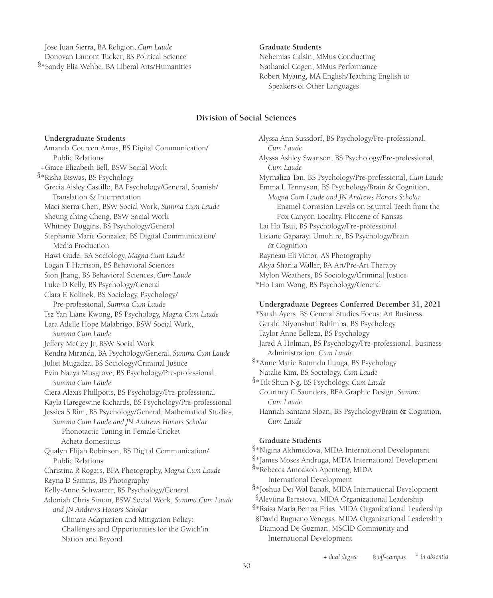Jose Juan Sierra, BA Religion, *Cum Laude* Donovan Lamont Tucker, BS Political Science

\*Sandy Elia Wehbe, BA Liberal Arts/Humanities §

#### **Graduate Students**

Nehemias Calsin, MMus Conducting Nathaniel Cogen, MMus Performance Robert Myaing, MA English/Teaching English to Speakers of Other Languages

#### **Division of Social Sciences**

#### **Undergraduate Students**

Amanda Coureen Amos, BS Digital Communication/ Public Relations +Grace Elizabeth Bell, BSW Social Work §\*Risha Biswas, BS Psychology Grecia Aisley Castillo, BA Psychology/General, Spanish/ Translation & Interpretation Maci Sierra Chen, BSW Social Work, *Summa Cum Laude* Sheung ching Cheng, BSW Social Work Whitney Duggins, BS Psychology/General Stephanie Marie Gonzalez, BS Digital Communication/ Media Production Hawi Gude, BA Sociology, *Magna Cum Laude* Logan T Harrison, BS Behavioral Sciences Sion Jhang, BS Behavioral Sciences, *Cum Laude* Luke D Kelly, BS Psychology/General Clara E Kolinek, BS Sociology, Psychology/ Pre-professional, *Summa Cum Laude* Tsz Yan Liane Kwong, BS Psychology, *Magna Cum Laude* Lara Adelle Hope Malabrigo, BSW Social Work, *Summa Cum Laude* Jeffery McCoy Jr, BSW Social Work Kendra Miranda, BA Psychology/General, *Summa Cum Laude* Juliet Mugadza, BS Sociology/Criminal Justice Evin Nazya Musgrove, BS Psychology/Pre-professional, *Summa Cum Laude* Ciera Alexis Phillpotts, BS Psychology/Pre-professional Kayla Haregewine Richards, BS Psychology/Pre-professional Jessica S Rim, BS Psychology/General, Mathematical Studies, *Summa Cum Laude and JN Andrews Honors Scholar* Phonotactic Tuning in Female Cricket Acheta domesticus Qualyn Elijah Robinson, BS Digital Communication/ Public Relations Christina R Rogers, BFA Photography, *Magna Cum Laude* Reyna D Samms, BS Photography Kelly-Anne Schwarzer, BS Psychology/General Adoniah Chris Simon, BSW Social Work, *Summa Cum Laude and JN Andrews Honors Scholar* Climate Adaptation and Mitigation Policy: Challenges and Opportunities for the Gwich'in Nation and Beyond

Alyssa Ann Sussdorf, BS Psychology/Pre-professional, *Cum Laude* Alyssa Ashley Swanson, BS Psychology/Pre-professional, *Cum Laude* Myrnaliza Tan, BS Psychology/Pre-professional, *Cum Laude* Emma L Tennyson, BS Psychology/Brain & Cognition, *Magna Cum Laude and JN Andrews Honors Scholar* Enamel Corrosion Levels on Squirrel Teeth from the Fox Canyon Locality, Pliocene of Kansas Lai Ho Tsui, BS Psychology/Pre-professional Lisiane Gaparayi Umuhire, BS Psychology/Brain & Cognition Rayneau Eli Victor, AS Photography Akya Shania Waller, BA Art/Pre-Art Therapy Mylon Weathers, BS Sociology/Criminal Justice \*Ho Lam Wong, BS Psychology/General

#### **Undergraduate Degrees Conferred December 31, 2021**

\*Sarah Ayers, BS General Studies Focus: Art Business Gerald Niyonshuti Bahimba, BS Psychology Taylor Anne Belleza, BS Psychology Jared A Holman, BS Psychology/Pre-professional, Business Administration, *Cum Laude*

§\*Anne Marie Butundu Ilunga, BS Psychology Natalie Kim, BS Sociology, *Cum Laude*

\*Tik Shun Ng, BS Psychology, *Cum Laude* § Courtney C Saunders, BFA Graphic Design, *Summa Cum Laude*

Hannah Santana Sloan, BS Psychology/Brain & Cognition, *Cum Laude*

#### **Graduate Students**

§\*Nigina Akhmedova, MIDA International Development

§\*James Moses Andruga, MIDA International Development

§\*Rebecca Amoakoh Apenteng, MIDA International Development

§\*Joshua Dei Wal Banak, MIDA International Development

§Alevtina Berestova, MIDA Organizational Leadership

§\*Raisa Maria Berroa Frias, MIDA Organizational Leadership §David Bugueno Venegas, MIDA Organizational Leadership Diamond De Guzman, MSCID Community and International Development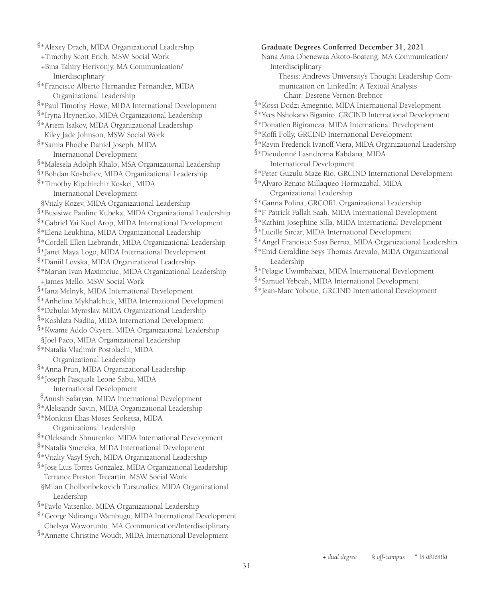§\*Alexey Drach, MIDA Organizational Leadership +Timothy Scott Erich, MSW Social Work +Bina Tahiry Herivonjy, MA Communication/ Interdisciplinary §\*Francisco Alberto Hernandez Fernandez, MIDA Organizational Leadership §\*Paul Timothy Howe, MIDA International Development §\*Iryna Hrynenko, MIDA Organizational Leadership §\*Artem Isakov, MIDA Organizational Leadership Kiley Jade Johnson, MSW Social Work §\*Samia Phoebe Daniel Joseph, MIDA International Development §\*Malesela Adolph Khalo, MSA Organizational Leadership §\*Bohdan Kosheliev, MIDA Organizational Leadership §\*Timothy Kipchirchir Koskei, MIDA International Development §Vitaly Kozev, MIDA Organizational Leadership §\*Busisiwe Pauline Kubeka, MIDA Organizational Leadership §\*Gabriel Yai Kuol Arop, MIDA International Development §\*Elena Leukhina, MIDA Organizational Leadership §\*Cordell Ellen Liebrandt, MIDA Organizational Leadership §\*Janet Maya Logo, MIDA International Development §\*Daniil Lovska, MIDA Organizational Leadership §\*Marian Ivan Maximciuc, MIDA Organizational Leadership +James Mello, MSW Social Work §\*Iana Melnyk, MIDA International Development §\*Anhelina Mykhalchuk, MIDA International Development §\*Dzhulai Myroslav, MIDA Organizational Leadership §\*Koshlata Nadiia, MIDA International Development §\*Kwame Addo Okyere, MIDA Organizational Leadership §Joel Paco, MIDA Organizational Leadership §\*Natalia Vladimir Postolachi, MIDA Organizational Leadership §\*Anna Prun, MIDA Organizational Leadership §\*Joseph Pasquale Leone Sabu, MIDA International Development Anush Safaryan, MIDA International Development § §\*Aleksandr Savin, MIDA Organizational Leadership §\*Monkitsi Elias Moses Seoketsa, MIDA Organizational Leadership §\*Oleksandr Shnurenko, MIDA International Development §\*Natalia Smereka, MIDA International Development §\*Vitaliy Vasyl Sych, MIDA Organizational Leadership §\*Jose Luis Torres Gonzalez, MIDA Organizational Leadership Terrance Preston Trecartin, MSW Social Work §Milan Cholbonbekovich Tursunaliev, MIDA Organizational Leadership §\*Pavlo Vatsenko, MIDA Organizational Leadership §\*George Ndirangu Wambugu, MIDA International Development Chelsya Waworuntu, MA Communication/Interdisciplinary §\*Annette Christine Woudt, MIDA International Development

#### **Graduate Degrees Conferred December 31, 2021**

Nana Ama Obenewaa Akoto-Boateng, MA Communication/ Interdisciplinary

Thesis: Andrews University's Thought Leadership Communication on LinkedIn: A Textual Analysis Chair: Desrene Vernon-Brebnor

- §\*Kossi Dodzi Amegnito, MIDA International Development
- §\*Yves Nshokano Biganiro, GRCIND International Development
- §\*Donatien Bigiraneza, MIDA International Development
- §\*Koffi Folly, GRCIND International Development
- §\*Kevin Frederick Ivanoff Viera, MIDA Organizational Leadership

§\*Dieudonné Lasndroma Kabdana, MIDA International Development

§\*Peter Guzulu Maze Rio, GRCIND International Development

§\*Alvaro Renato Millaqueo Hormazabal, MIDA Organizational Leadership

- §\*Ganna Polina, GRCORL Organizational Leadership
- §\*F Patrick Fallah Saah, MIDA International Development
- §\*Kathini Josephine Silla, MIDA International Development

§\*Lucille Sircar, MIDA International Development

- §\*Angel Francisco Sosa Berroa, MIDA Organizational Leadership
- §\*Enid Geraldine Seys Thomas Arevalo, MIDA Organizational Leadership
- §\*Pélagie Uwimbabazi, MIDA International Development
- §\*Samuel Yeboah, MIDA International Development
- \*Jean-Marc Yoboue, GRCIND International Development §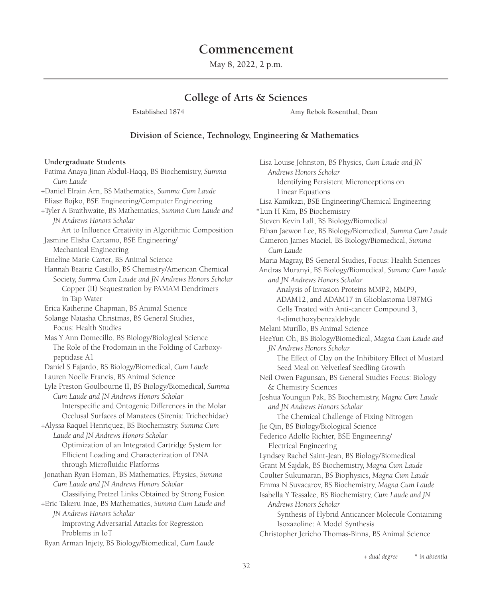# **Commencement**

May 8, 2022, 2 p.m.

## **College of Arts & Sciences**

Established 1874 **Amy Rebok Rosenthal**, Dean

#### **Division of Science, Technology, Engineering & Mathematics**

#### **Undergraduate Students**

Fatima Anaya Jinan Abdul-Haqq, BS Biochemistry, *Summa Cum Laude* +Daniel Efrain Arn, BS Mathematics, *Summa Cum Laude* Eliasz Bojko, BSE Engineering/Computer Engineering +Tyler A Braithwaite, BS Mathematics, *Summa Cum Laude and JN Andrews Honors Scholar* Art to Influence Creativity in Algorithmic Composition Jasmine Elisha Carcamo, BSE Engineering/ Mechanical Engineering Emeline Marie Carter, BS Animal Science Hannah Beatriz Castillo, BS Chemistry/American Chemical Society, *Summa Cum Laude and JN Andrews Honors Scholar* Copper (II) Sequestration by PAMAM Dendrimers in Tap Water Erica Katherine Chapman, BS Animal Science Solange Natasha Christmas, BS General Studies, Focus: Health Studies Mas Y Ann Domecillo, BS Biology/Biological Science The Role of the Prodomain in the Folding of Carboxypeptidase A1 Daniel S Fajardo, BS Biology/Biomedical, *Cum Laude* Lauren Noelle Francis, BS Animal Science Lyle Preston Goulbourne II, BS Biology/Biomedical, *Summa Cum Laude and JN Andrews Honors Scholar* Interspecific and Ontogenic Differences in the Molar Occlusal Surfaces of Manatees (Sirenia: Trichechidae) +Alyssa Raquel Henriquez, BS Biochemistry, *Summa Cum Laude and JN Andrews Honors Scholar* Optimization of an Integrated Cartridge System for Efficient Loading and Characterization of DNA through Microfluidic Platforms Jonathan Ryan Homan, BS Mathematics, Physics, *Summa Cum Laude and JN Andrews Honors Scholar* Classifying Pretzel Links Obtained by Strong Fusion +Eric Takeru Inae, BS Mathematics, *Summa Cum Laude and JN Andrews Honors Scholar* Improving Adversarial Attacks for Regression Problems in IoT Ryan Arman Injety, BS Biology/Biomedical, *Cum Laude*

Lisa Louise Johnston, BS Physics, *Cum Laude and JN Andrews Honors Scholar* Identifying Persistent Micronceptions on Linear Equations Lisa Kamikazi, BSE Engineering/Chemical Engineering \*Lun H Kim, BS Biochemistry Steven Kevin Lall, BS Biology/Biomedical Ethan Jaewon Lee, BS Biology/Biomedical, *Summa Cum Laude* Cameron James Maciel, BS Biology/Biomedical, *Summa Cum Laude* Maria Magray, BS General Studies, Focus: Health Sciences Andras Muranyi, BS Biology/Biomedical, *Summa Cum Laude and JN Andrews Honors Scholar* Analysis of Invasion Proteins MMP2, MMP9, ADAM12, and ADAM17 in Glioblastoma U87MG Cells Treated with Anti-cancer Compound 3, 4-dimethoxybenzaldehyde Melani Murillo, BS Animal Science HeeYun Oh, BS Biology/Biomedical, *Magna Cum Laude and JN Andrews Honors Scholar* The Effect of Clay on the Inhibitory Effect of Mustard Seed Meal on Velvetleaf Seedling Growth Neil Owen Pagunsan, BS General Studies Focus: Biology & Chemistry Sciences Joshua Youngjin Pak, BS Biochemistry, *Magna Cum Laude and JN Andrews Honors Scholar* The Chemical Challenge of Fixing Nitrogen Jie Qin, BS Biology/Biological Science Federico Adolfo Richter, BSE Engineering/ Electrical Engineering Lyndsey Rachel Saint-Jean, BS Biology/Biomedical Grant M Sajdak, BS Biochemistry, *Magna Cum Laude* Coulter Sukumaran, BS Biophysics, *Magna Cum Laude* Emma N Suvacarov, BS Biochemistry, *Magna Cum Laude* Isabella Y Tessalee, BS Biochemistry, *Cum Laude and JN Andrews Honors Scholar* Synthesis of Hybrid Anticancer Molecule Containing Isoxazoline: A Model Synthesis Christopher Jericho Thomas-Binns, BS Animal Science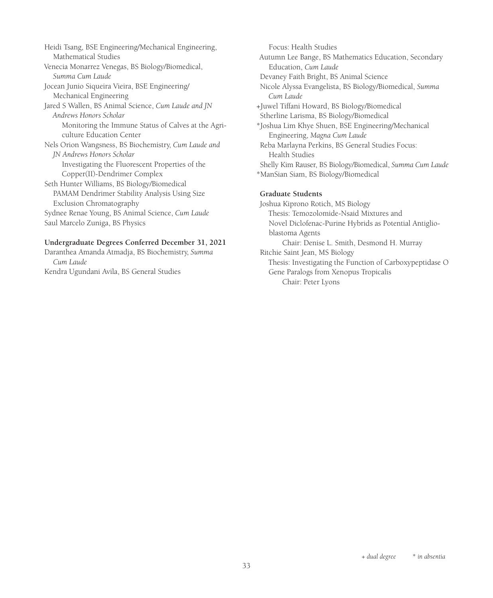Heidi Tsang, BSE Engineering/Mechanical Engineering, Mathematical Studies Venecia Monarrez Venegas, BS Biology/Biomedical, *Summa Cum Laude* Jocean Junio Siqueira Vieira, BSE Engineering/ Mechanical Engineering Jared S Wallen, BS Animal Science, *Cum Laude and JN Andrews Honors Scholar* Monitoring the Immune Status of Calves at the Agriculture Education Center Nels Orion Wangsness, BS Biochemistry, *Cum Laude and JN Andrews Honors Scholar* Investigating the Fluorescent Properties of the Copper(II)-Dendrimer Complex Seth Hunter Williams, BS Biology/Biomedical PAMAM Dendrimer Stability Analysis Using Size Exclusion Chromatography Sydnee Renae Young, BS Animal Science, *Cum Laude* Saul Marcelo Zuniga, BS Physics

#### **Undergraduate Degrees Conferred December 31, 2021**

Daranthea Amanda Atmadja, BS Biochemistry, *Summa Cum Laude* Kendra Ugundani Avila, BS General Studies

Focus: Health Studies Autumn Lee Bange, BS Mathematics Education, Secondary Education, *Cum Laude* Devaney Faith Bright, BS Animal Science Nicole Alyssa Evangelista, BS Biology/Biomedical, *Summa Cum Laude* +Juwel Tiffani Howard, BS Biology/Biomedical Stherline Larisma, BS Biology/Biomedical \*Joshua Lim Khye Shuen, BSE Engineering/Mechanical Engineering, *Magna Cum Laude* Reba Marlayna Perkins, BS General Studies Focus: Health Studies Shelly Kim Rauser, BS Biology/Biomedical, *Summa Cum Laude* \*ManSian Siam, BS Biology/Biomedical

#### **Graduate Students**

Joshua Kiprono Rotich, MS Biology Thesis: Temozolomide-Nsaid Mixtures and Novel Diclofenac-Purine Hybrids as Potential Antiglioblastoma Agents Chair: Denise L. Smith, Desmond H. Murray Ritchie Saint Jean, MS Biology Thesis: Investigating the Function of Carboxypeptidase O Gene Paralogs from Xenopus Tropicalis Chair: Peter Lyons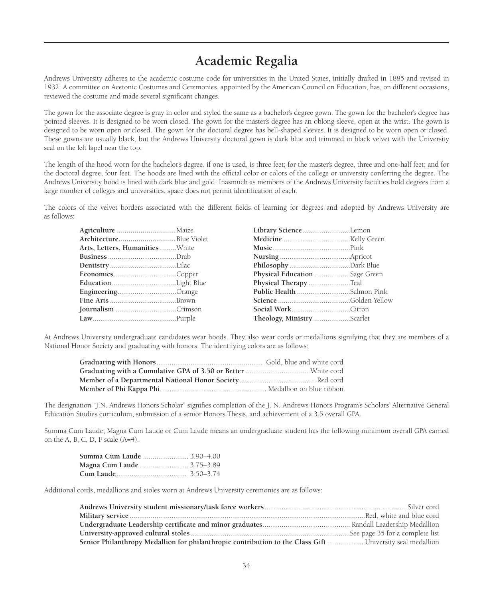# **Academic Regalia**

Andrews University adheres to the academic costume code for universities in the United States, initially drafted in 1885 and revised in 1932. A committee on Acetonic Costumes and Ceremonies, appointed by the American Council on Education, has, on different occasions, reviewed the costume and made several significant changes.

The gown for the associate degree is gray in color and styled the same as a bachelor's degree gown. The gown for the bachelor's degree has pointed sleeves. It is designed to be worn closed. The gown for the master's degree has an oblong sleeve, open at the wrist. The gown is designed to be worn open or closed. The gown for the doctoral degree has bell-shaped sleeves. It is designed to be worn open or closed. These gowns are usually black, but the Andrews University doctoral gown is dark blue and trimmed in black velvet with the University seal on the left lapel near the top.

The length of the hood worn for the bachelor's degree, if one is used, is three feet; for the master's degree, three and one-half feet; and for the doctoral degree, four feet. The hoods are lined with the official color or colors of the college or university conferring the degree. The Andrews University hood is lined with dark blue and gold. Inasmuch as members of the Andrews University faculties hold degrees from a large number of colleges and universities, space does not permit identification of each.

The colors of the velvet borders associated with the different fields of learning for degrees and adopted by Andrews University are as follows:

| Agriculture Maize              | Library ScienceLemon          |  |
|--------------------------------|-------------------------------|--|
| ArchitectureBlue Violet        |                               |  |
| Arts, Letters, HumanitiesWhite |                               |  |
|                                |                               |  |
|                                |                               |  |
|                                | Physical Education Sage Green |  |
|                                | Physical Therapy Teal         |  |
|                                |                               |  |
|                                |                               |  |
|                                |                               |  |
|                                |                               |  |

At Andrews University undergraduate candidates wear hoods. They also wear cords or medallions signifying that they are members of a National Honor Society and graduating with honors. The identifying colors are as follows:

The designation "J.N. Andrews Honors Scholar" signifies completion of the J. N. Andrews Honors Program's Scholars' Alternative General Education Studies curriculum, submission of a senior Honors Thesis, and achievement of a 3.5 overall GPA.

Summa Cum Laude, Magna Cum Laude or Cum Laude means an undergraduate student has the following minimum overall GPA earned on the A, B, C, D, F scale (A=4).

| Summa Cum Laude  3.90–4.00 |  |
|----------------------------|--|
| Magna Cum Laude 3.75–3.89  |  |
|                            |  |

Additional cords, medallions and stoles worn at Andrews University ceremonies are as follows:

| Senior Philanthropy Medallion for philanthropic contribution to the Class Gift University seal medallion |  |
|----------------------------------------------------------------------------------------------------------|--|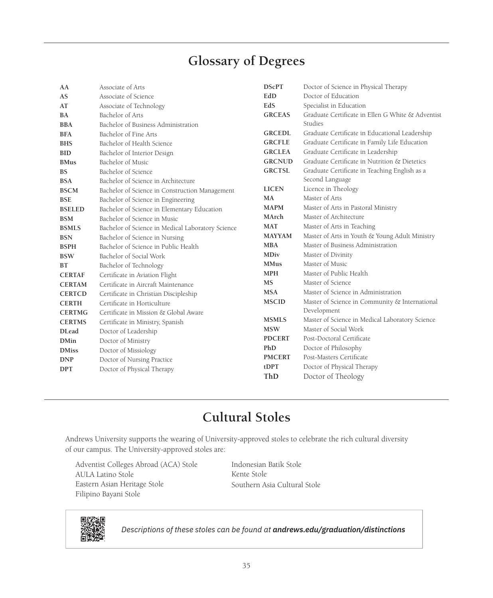# **Glossary of Degrees**

| AA            | Associate of Arts                                 | <b>DScPT</b>  | Doctor of Science in Physical Therapy             |
|---------------|---------------------------------------------------|---------------|---------------------------------------------------|
| AS            | Associate of Science                              | EdD           | Doctor of Education                               |
| AT            | Associate of Technology                           | EdS           | Specialist in Education                           |
| BA            | Bachelor of Arts                                  | <b>GRCEAS</b> | Graduate Certificate in Ellen G White & Adventist |
| <b>BBA</b>    | Bachelor of Business Administration               |               | Studies                                           |
| <b>BFA</b>    | Bachelor of Fine Arts                             | <b>GRCEDL</b> | Graduate Certificate in Educational Leadership    |
| <b>BHS</b>    | Bachelor of Health Science                        | <b>GRCFLE</b> | Graduate Certificate in Family Life Education     |
| <b>BID</b>    | Bachelor of Interior Design                       | <b>GRCLEA</b> | Graduate Certificate in Leadership                |
| <b>BMus</b>   | Bachelor of Music                                 | <b>GRCNUD</b> | Graduate Certificate in Nutrition & Dietetics     |
| <b>BS</b>     | Bachelor of Science                               | <b>GRCTSL</b> | Graduate Certificate in Teaching English as a     |
| <b>BSA</b>    | Bachelor of Science in Architecture               |               | Second Language                                   |
| <b>BSCM</b>   | Bachelor of Science in Construction Management    | <b>LICEN</b>  | Licence in Theology                               |
| <b>BSE</b>    | Bachelor of Science in Engineering                | MA            | Master of Arts                                    |
| <b>BSELED</b> | Bachelor of Science in Elementary Education       | <b>MAPM</b>   | Master of Arts in Pastoral Ministry               |
| <b>BSM</b>    | Bachelor of Science in Music                      | MArch         | Master of Architecture                            |
| <b>BSMLS</b>  | Bachelor of Science in Medical Laboratory Science | <b>MAT</b>    | Master of Arts in Teaching                        |
| <b>BSN</b>    | Bachelor of Science in Nursing                    | <b>MAYYAM</b> | Master of Arts in Youth & Young Adult Ministry    |
| <b>BSPH</b>   | Bachelor of Science in Public Health              | <b>MBA</b>    | Master of Business Administration                 |
| <b>BSW</b>    | Bachelor of Social Work                           | MDiv          | Master of Divinity                                |
| ВT            | Bachelor of Technology                            | <b>MMus</b>   | Master of Music                                   |
| <b>CERTAF</b> | Certificate in Aviation Flight                    | <b>MPH</b>    | Master of Public Health                           |
| <b>CERTAM</b> | Certificate in Aircraft Maintenance               | <b>MS</b>     | Master of Science                                 |
| <b>CERTCD</b> | Certificate in Christian Discipleship             | <b>MSA</b>    | Master of Science in Administration               |
| <b>CERTH</b>  | Certificate in Horticulture                       | <b>MSCID</b>  | Master of Science in Community & International    |
| <b>CERTMG</b> | Certificate in Mission & Global Aware             |               | Development                                       |
| <b>CERTMS</b> | Certificate in Ministry, Spanish                  | <b>MSMLS</b>  | Master of Science in Medical Laboratory Science   |
| <b>DLead</b>  | Doctor of Leadership                              | <b>MSW</b>    | Master of Social Work                             |
| <b>DMin</b>   | Doctor of Ministry                                | <b>PDCERT</b> | Post-Doctoral Certificate                         |
| <b>DMiss</b>  | Doctor of Missiology                              | PhD           | Doctor of Philosophy                              |
| <b>DNP</b>    | Doctor of Nursing Practice                        | <b>PMCERT</b> | Post-Masters Certificate                          |
| <b>DPT</b>    | Doctor of Physical Therapy                        | tDPT          | Doctor of Physical Therapy                        |
|               |                                                   | ThD           | Doctor of Theology                                |

# **Cultural Stoles**

Andrews University supports the wearing of University-approved stoles to celebrate the rich cultural diversity of our campus. The University-approved stoles are:

Adventist Colleges Abroad (ACA) Stole AULA Latino Stole Eastern Asian Heritage Stole Filipino Bayani Stole

Indonesian Batik Stole Kente Stole Southern Asia Cultural Stole



*Descriptions of these stoles can be found at andrews.edu/graduation/distinctions*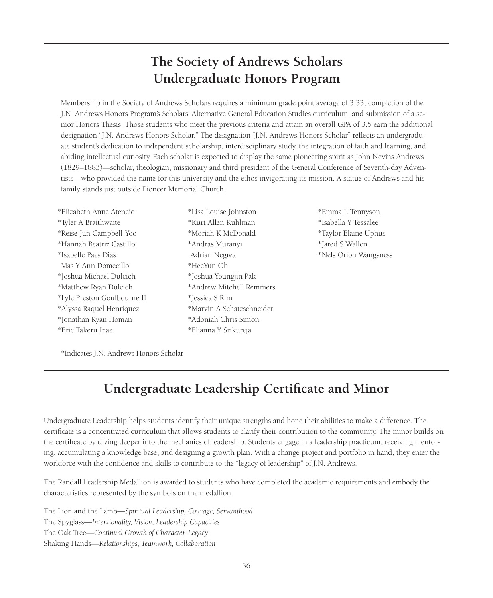# **The Society of Andrews Scholars Undergraduate Honors Program**

Membership in the Society of Andrews Scholars requires a minimum grade point average of 3.33, completion of the J.N. Andrews Honors Program's Scholars' Alternative General Education Studies curriculum, and submission of a senior Honors Thesis. Those students who meet the previous criteria and attain an overall GPA of 3.5 earn the additional designation "J.N. Andrews Honors Scholar." The designation "J.N. Andrews Honors Scholar" reflects an undergraduate student's dedication to independent scholarship, interdisciplinary study, the integration of faith and learning, and abiding intellectual curiosity. Each scholar is expected to display the same pioneering spirit as John Nevins Andrews (1829–1883)—scholar, theologian, missionary and third president of the General Conference of Seventh-day Adventists—who provided the name for this university and the ethos invigorating its mission. A statue of Andrews and his family stands just outside Pioneer Memorial Church.

- \*Elizabeth Anne Atencio \*Tyler A Braithwaite \*Reise Jun Campbell-Yoo \*Hannah Beatriz Castillo \*Isabelle Paes Dias Mas Y Ann Domecillo \*Joshua Michael Dulcich \*Matthew Ryan Dulcich \*Lyle Preston Goulbourne II \*Alyssa Raquel Henriquez \*Jonathan Ryan Homan \*Eric Takeru Inae
- \*Lisa Louise Johnston \*Kurt Allen Kuhlman \*Moriah K McDonald \*Andras Muranyi Adrian Negrea \*HeeYun Oh \*Joshua Youngjin Pak \*Andrew Mitchell Remmers \*Jessica S Rim \*Marvin A Schatzschneider \*Adoniah Chris Simon \*Elianna Y Srikureja
- \*Emma L Tennyson \*Isabella Y Tessalee \*Taylor Elaine Uphus \*Jared S Wallen \*Nels Orion Wangsness

\*Indicates J.N. Andrews Honors Scholar

# **Undergraduate Leadership Certificate and Minor**

Undergraduate Leadership helps students identify their unique strengths and hone their abilities to make a difference. The certificate is a concentrated curriculum that allows students to clarify their contribution to the community. The minor builds on the certificate by diving deeper into the mechanics of leadership. Students engage in a leadership practicum, receiving mentoring, accumulating a knowledge base, and designing a growth plan. With a change project and portfolio in hand, they enter the workforce with the confidence and skills to contribute to the "legacy of leadership" of J.N. Andrews.

The Randall Leadership Medallion is awarded to students who have completed the academic requirements and embody the characteristics represented by the symbols on the medallion.

The Lion and the Lamb—*Spiritual Leadership, Courage, Servanthood* The Spyglass—*Intentionality, Vision, Leadership Capacities* The Oak Tree—*Continual Growth of Character, Legacy* Shaking Hands—*Relationships, Teamwork, Collaboration*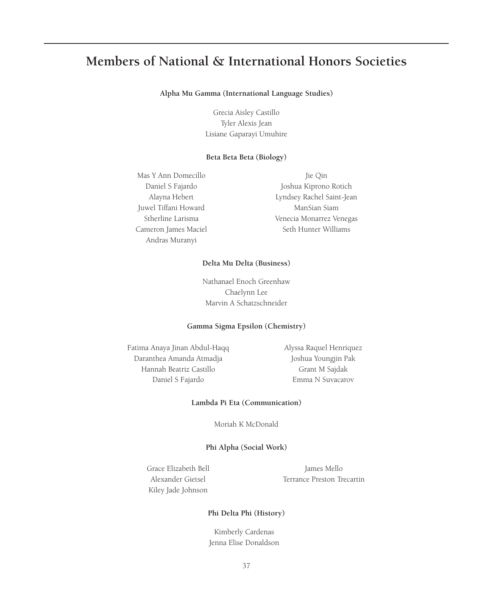# **Members of National & International Honors Societies**

#### **Alpha Mu Gamma (International Language Studies)**

Grecia Aisley Castillo Tyler Alexis Jean Lisiane Gaparayi Umuhire

#### **Beta Beta Beta (Biology)**

Mas Y Ann Domecillo Daniel S Fajardo Alayna Hebert Juwel Tiffani Howard Stherline Larisma Cameron James Maciel Andras Muranyi

Jie Qin Joshua Kiprono Rotich Lyndsey Rachel Saint-Jean ManSian Siam Venecia Monarrez Venegas Seth Hunter Williams

#### **Delta Mu Delta (Business)**

Nathanael Enoch Greenhaw Chaelynn Lee Marvin A Schatzschneider

#### **Gamma Sigma Epsilon (Chemistry)**

Fatima Anaya Jinan Abdul-Haqq Daranthea Amanda Atmadja Hannah Beatriz Castillo Daniel S Fajardo

Alyssa Raquel Henriquez Joshua Youngjin Pak Grant M Sajdak Emma N Suvacarov

#### **Lambda Pi Eta (Communication)**

Moriah K McDonald

#### **Phi Alpha (Social Work)**

Grace Elizabeth Bell Alexander Gietsel Kiley Jade Johnson

James Mello Terrance Preston Trecartin

#### **Phi Delta Phi (History)**

Kimberly Cardenas Jenna Elise Donaldson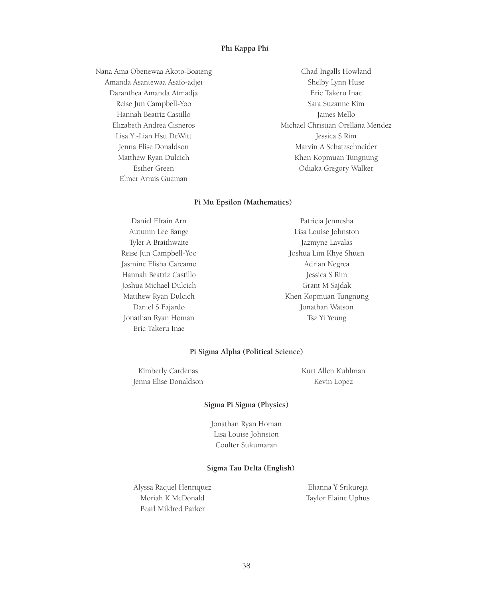#### **Phi Kappa Phi**

Nana Ama Obenewaa Akoto-Boateng Amanda Asantewaa Asafo-adjei Daranthea Amanda Atmadja Reise Jun Campbell-Yoo Hannah Beatriz Castillo Elizabeth Andrea Cisneros Lisa Yi-Lian Hsu DeWitt Jenna Elise Donaldson Matthew Ryan Dulcich Esther Green Elmer Arrais Guzman

Chad Ingalls Howland Shelby Lynn Huse Eric Takeru Inae Sara Suzanne Kim James Mello Michael Christian Orellana Mendez Jessica S Rim Marvin A Schatzschneider Khen Kopmuan Tungnung Odiaka Gregory Walker

#### **Pi Mu Epsilon (Mathematics)**

| Daniel Efrain Arn       | Patricia Jennesha     |
|-------------------------|-----------------------|
| Autumn Lee Bange        | Lisa Louise Johnston  |
| Tyler A Braithwaite     | Jazmyne Lavalas       |
| Reise Jun Campbell-Yoo  | Joshua Lim Khye Shuen |
| Jasmine Elisha Carcamo  | Adrian Negrea         |
| Hannah Beatriz Castillo | Jessica S Rim         |
| Joshua Michael Dulcich  | Grant M Sajdak        |
| Matthew Ryan Dulcich    | Khen Kopmuan Tungnung |
| Daniel S Fajardo        | Jonathan Watson       |
| Jonathan Ryan Homan     | Tsz Yi Yeung          |
| Eric Takeru Inae        |                       |

#### **Pi Sigma Alpha (Political Science)**

Kimberly Cardenas Jenna Elise Donaldson Kurt Allen Kuhlman Kevin Lopez

#### **Sigma Pi Sigma (Physics)**

Jonathan Ryan Homan Lisa Louise Johnston Coulter Sukumaran

#### **Sigma Tau Delta (English)**

Alyssa Raquel Henriquez Moriah K McDonald Pearl Mildred Parker

Elianna Y Srikureja Taylor Elaine Uphus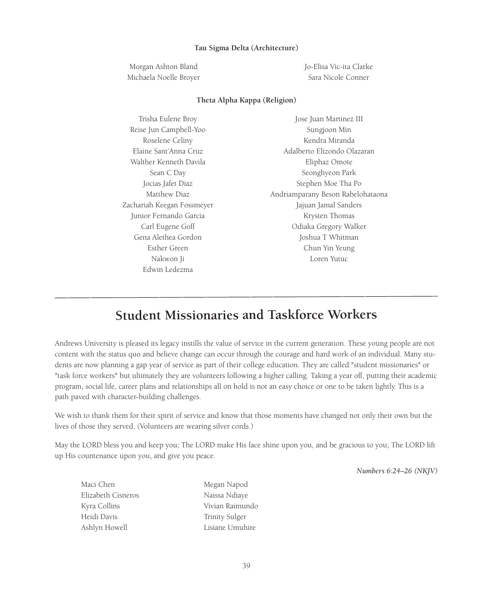#### **Tau Sigma Delta (Architecture)**

Morgan Ashton Bland Michaela Noelle Broyer Jo-Elisa Vic-ita Clarke Sara Nicole Conner

#### **Theta Alpha Kappa (Religion)**

| Trisha Eulene Broy         | Jose Juan Martinez III            |
|----------------------------|-----------------------------------|
| Reise Jun Campbell-Yoo     | Sungjoon Min                      |
| Roselene Celiny            | Kendra Miranda                    |
| Elaine Sant'Anna Cruz      | Adalberto Elizondo Olazaran       |
| Walther Kenneth Davila     | Eliphaz Omote                     |
| Sean C Day                 | Seonghyeon Park                   |
| Jocias Jafet Diaz          | Stephen Moe Tha Po                |
| Matthew Diaz               | Andriamparany Beson Rabelohataona |
| Zachariah Keegan Fossmeyer | Jajuan Jamal Sanders              |
| Junior Fernando Garcia     | Krysten Thomas                    |
| Carl Eugene Goff           | Odiaka Gregory Walker             |
| Gena Alethea Gordon        | Joshua T Whitman                  |
| Esther Green               | Chun Yin Yeung                    |
| Nakwon Ji                  | Loren Yutuc                       |
| Edwin Ledezma              |                                   |

# **Student Missionaries and Taskforce Workers**

Andrews University is pleased its legacy instills the value of service in the current generation. These young people are not content with the status quo and believe change can occur through the courage and hard work of an individual. Many students are now planning a gap year of service as part of their college education. They are called "student missionaries" or "task force workers" but ultimately they are volunteers following a higher calling. Taking a year off, putting their academic program, social life, career plans and relationships all on hold is not an easy choice or one to be taken lightly. This is a path paved with character-building challenges.

We wish to thank them for their spirit of service and know that those moments have changed not only their own but the lives of those they served. (Volunteers are wearing silver cords.)

May the LORD bless you and keep you; The LORD make His face shine upon you, and be gracious to you; The LORD lift up His countenance upon you, and give you peace.

*Numbers 6:24–26 (NKJV)*

| Maci Chen          | Megan Napod     |
|--------------------|-----------------|
| Elizabeth Cisneros | Naissa Ndiaye   |
| Kyra Collins       | Vivian Raimundo |
| Heidi Davis        | Trinity Sulger  |
| Ashlyn Howell      | Lisiane Umuhire |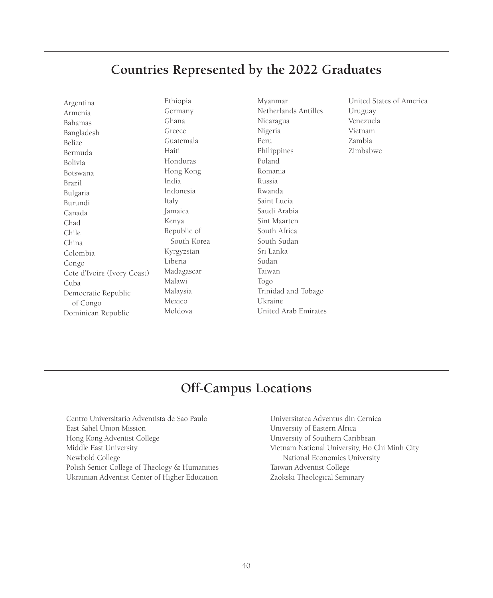# **Countries Represented by the 2022 Graduates**

| Argentina                   |
|-----------------------------|
| Armenia                     |
| Bahamas                     |
| Bangladesh                  |
| Belize                      |
| Bermuda                     |
| Bolivia                     |
| Botswana                    |
| Brazil                      |
| Bulgaria                    |
| Burundi                     |
| Canada                      |
| Chad                        |
| Chile                       |
| China                       |
| Colombia                    |
| Congo                       |
| Cote d'Ivoire (Ivory Coast) |
| Cuba                        |
| Democratic Republic         |
| of Congo                    |
| Dominican Republic          |

Ethiopia Germany Ghana Greece Guatemala Haiti Honduras Hong Kong India Indonesia Italy Jamaica Kenya Republic of South Korea Kyrgyzstan Liberia Madagascar Malawi Malaysia Mexico Moldova

Myanmar Netherlands Antilles Nicaragua Nigeria Peru Philippines Poland Romania Russia Rwanda Saint Lucia Saudi Arabia Sint Maarten South Africa South Sudan Sri Lanka Sudan Taiwan Togo Trinidad and Tobago Ukraine United Arab Emirates United States of America Uruguay Venezuela Vietnam Zambia Zimbabwe

# **Off-Campus Locations**

Centro Universitario Adventista de Sao Paulo East Sahel Union Mission Hong Kong Adventist College Middle East University Newbold College Polish Senior College of Theology & Humanities Ukrainian Adventist Center of Higher Education

Universitatea Adventus din Cernica University of Eastern Africa University of Southern Caribbean Vietnam National University, Ho Chi Minh City National Economics University Taiwan Adventist College Zaokski Theological Seminary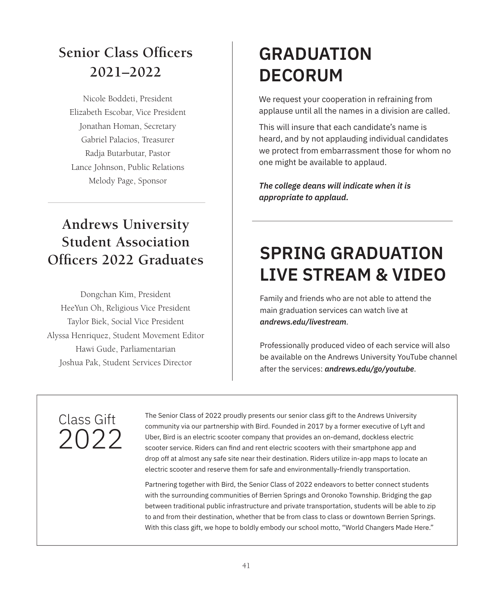# **Senior Class Officers 2021–2022**

Nicole Boddeti, President Elizabeth Escobar, Vice President Jonathan Homan, Secretary Gabriel Palacios, Treasurer Radja Butarbutar, Pastor Lance Johnson, Public Relations Melody Page, Sponsor

# **Andrews University Student Association**

Dongchan Kim, President HeeYun Oh, Religious Vice President Taylor Biek, Social Vice President Alyssa Henriquez, Student Movement Editor Hawi Gude, Parliamentarian Joshua Pak, Student Services Director

# **GRADUATION DECORUM**

We request your cooperation in refraining from applause until all the names in a division are called.

This will insure that each candidate's name is heard, and by not applauding individual candidates we protect from embarrassment those for whom no one might be available to applaud.

*The college deans will indicate when it is appropriate to applaud.* 

# **Officers 2022 Graduates SPRING GRADUATION LIVE STREAM & VIDEO**

Family and friends who are not able to attend the main graduation services can watch live at *andrews.edu/livestream*.

Professionally produced video of each service will also be available on the Andrews University YouTube channel after the services: *andrews.edu/go/youtube*.

# Class Gift 2022

The Senior Class of 2022 proudly presents our senior class gift to the Andrews University community via our partnership with Bird. Founded in 2017 by a former executive of Lyft and Uber, Bird is an electric scooter company that provides an on-demand, dockless electric scooter service. Riders can find and rent electric scooters with their smartphone app and drop off at almost any safe site near their destination. Riders utilize in-app maps to locate an electric scooter and reserve them for safe and environmentally-friendly transportation.

Partnering together with Bird, the Senior Class of 2022 endeavors to better connect students with the surrounding communities of Berrien Springs and Oronoko Township. Bridging the gap between traditional public infrastructure and private transportation, students will be able to zip to and from their destination, whether that be from class to class or downtown Berrien Springs. With this class gift, we hope to boldly embody our school motto, "World Changers Made Here."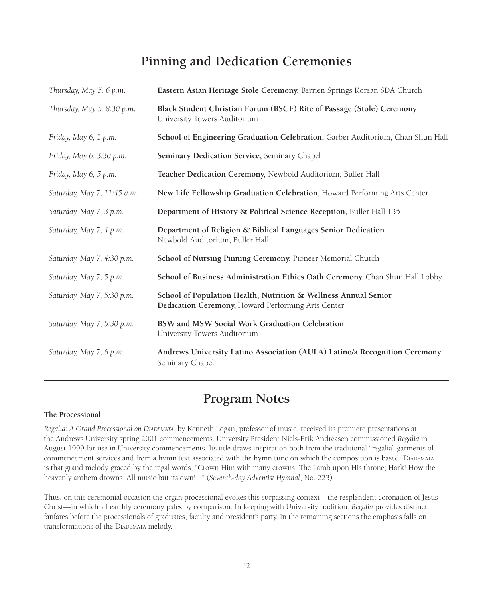# **Pinning and Dedication Ceremonies**

| Thursday, May 5, 6 p.m.     | Eastern Asian Heritage Stole Ceremony, Berrien Springs Korean SDA Church                                              |
|-----------------------------|-----------------------------------------------------------------------------------------------------------------------|
| Thursday, May 5, 8:30 p.m.  | Black Student Christian Forum (BSCF) Rite of Passage (Stole) Ceremony<br>University Towers Auditorium                 |
| Friday, May 6, 1 p.m.       | School of Engineering Graduation Celebration, Garber Auditorium, Chan Shun Hall                                       |
| Friday, May 6, 3:30 p.m.    | Seminary Dedication Service, Seminary Chapel                                                                          |
| Friday, May 6, 5 p.m.       | Teacher Dedication Ceremony, Newbold Auditorium, Buller Hall                                                          |
| Saturday, May 7, 11:45 a.m. | New Life Fellowship Graduation Celebration, Howard Performing Arts Center                                             |
| Saturday, May 7, 3 p.m.     | Department of History & Political Science Reception, Buller Hall 135                                                  |
| Saturday, May 7, 4 p.m.     | Department of Religion & Biblical Languages Senior Dedication<br>Newbold Auditorium, Buller Hall                      |
| Saturday, May 7, 4:30 p.m.  | School of Nursing Pinning Ceremony, Pioneer Memorial Church                                                           |
| Saturday, May 7, 5 p.m.     | School of Business Administration Ethics Oath Ceremony, Chan Shun Hall Lobby                                          |
| Saturday, May 7, 5:30 p.m.  | School of Population Health, Nutrition & Wellness Annual Senior<br>Dedication Ceremony, Howard Performing Arts Center |
| Saturday, May 7, 5:30 p.m.  | BSW and MSW Social Work Graduation Celebration<br>University Towers Auditorium                                        |
| Saturday, May 7, 6 p.m.     | Andrews University Latino Association (AULA) Latino/a Recognition Ceremony<br>Seminary Chapel                         |
|                             |                                                                                                                       |

# **Program Notes**

#### **The Processional**

*Regalia: A Grand Processional on Diademata*, by Kenneth Logan, professor of music, received its premiere presentations at the Andrews University spring 2001 commencements. University President Niels-Erik Andreasen commissioned *Regalia* in August 1999 for use in University commencements. Its title draws inspiration both from the traditional "regalia" garments of commencement services and from a hymn text associated with the hymn tune on which the composition is based. DIADEMATA is that grand melody graced by the regal words, "Crown Him with many crowns, The Lamb upon His throne; Hark! How the heavenly anthem drowns, All music but its own!..." (*Seventh-day Adventist Hymnal*, No. 223)

Thus, on this ceremonial occasion the organ processional evokes this surpassing context—the resplendent coronation of Jesus Christ—in which all earthly ceremony pales by comparison. In keeping with University tradition, *Regalia* provides distinct fanfares before the processionals of graduates, faculty and president's party. In the remaining sections the emphasis falls on transformations of the DIADEMATA melody.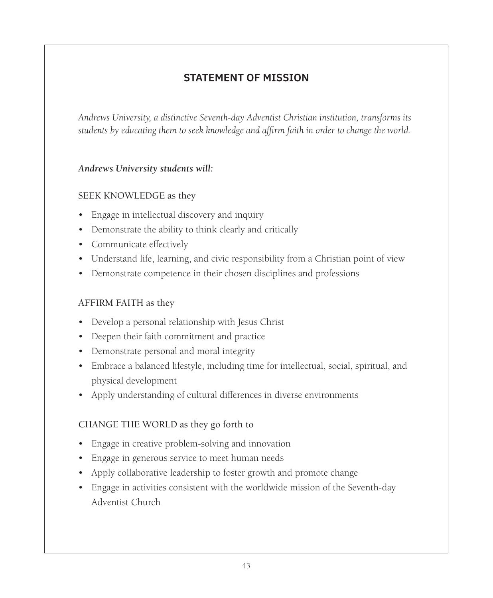# **STATEMENT OF MISSION**

*Andrews University, a distinctive Seventh-day Adventist Christian institution, transforms its students by educating them to seek knowledge and affirm faith in order to change the world.*

# *Andrews University students will:*

## SEEK KNOWLEDGE as they

- Engage in intellectual discovery and inquiry
- Demonstrate the ability to think clearly and critically
- Communicate effectively
- Understand life, learning, and civic responsibility from a Christian point of view
- Demonstrate competence in their chosen disciplines and professions

# AFFIRM FAITH as they

- Develop a personal relationship with Jesus Christ
- Deepen their faith commitment and practice
- Demonstrate personal and moral integrity
- Embrace a balanced lifestyle, including time for intellectual, social, spiritual, and physical development
- Apply understanding of cultural differences in diverse environments

## CHANGE THE WORLD as they go forth to

- Engage in creative problem-solving and innovation
- Engage in generous service to meet human needs
- Apply collaborative leadership to foster growth and promote change
- Engage in activities consistent with the worldwide mission of the Seventh-day Adventist Church